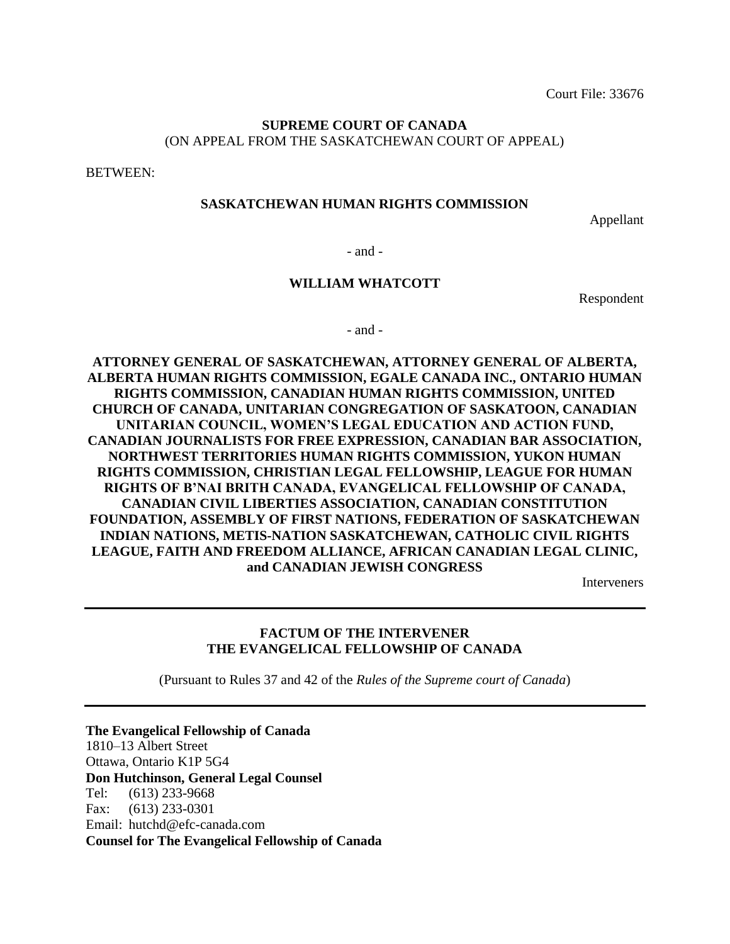Court File: 33676

### **SUPREME COURT OF CANADA** (ON APPEAL FROM THE SASKATCHEWAN COURT OF APPEAL)

BETWEEN:

#### **SASKATCHEWAN HUMAN RIGHTS COMMISSION**

Appellant

- and -

#### **WILLIAM WHATCOTT**

Respondent

- and -

**ATTORNEY GENERAL OF SASKATCHEWAN, ATTORNEY GENERAL OF ALBERTA, ALBERTA HUMAN RIGHTS COMMISSION, EGALE CANADA INC., ONTARIO HUMAN RIGHTS COMMISSION, CANADIAN HUMAN RIGHTS COMMISSION, UNITED CHURCH OF CANADA, UNITARIAN CONGREGATION OF SASKATOON, CANADIAN UNITARIAN COUNCIL, WOMEN'S LEGAL EDUCATION AND ACTION FUND, CANADIAN JOURNALISTS FOR FREE EXPRESSION, CANADIAN BAR ASSOCIATION, NORTHWEST TERRITORIES HUMAN RIGHTS COMMISSION, YUKON HUMAN RIGHTS COMMISSION, CHRISTIAN LEGAL FELLOWSHIP, LEAGUE FOR HUMAN RIGHTS OF B'NAI BRITH CANADA, EVANGELICAL FELLOWSHIP OF CANADA, CANADIAN CIVIL LIBERTIES ASSOCIATION, CANADIAN CONSTITUTION FOUNDATION, ASSEMBLY OF FIRST NATIONS, FEDERATION OF SASKATCHEWAN INDIAN NATIONS, METIS-NATION SASKATCHEWAN, CATHOLIC CIVIL RIGHTS LEAGUE, FAITH AND FREEDOM ALLIANCE, AFRICAN CANADIAN LEGAL CLINIC, and CANADIAN JEWISH CONGRESS**

Interveners

#### **FACTUM OF THE INTERVENER THE EVANGELICAL FELLOWSHIP OF CANADA**

(Pursuant to Rules 37 and 42 of the *Rules of the Supreme court of Canada*)

**The Evangelical Fellowship of Canada** 1810–13 Albert Street Ottawa, Ontario K1P 5G4 **Don Hutchinson, General Legal Counsel** Tel: (613) 233-9668 Fax: (613) 233-0301 Email: hutchd@efc-canada.com **Counsel for The Evangelical Fellowship of Canada**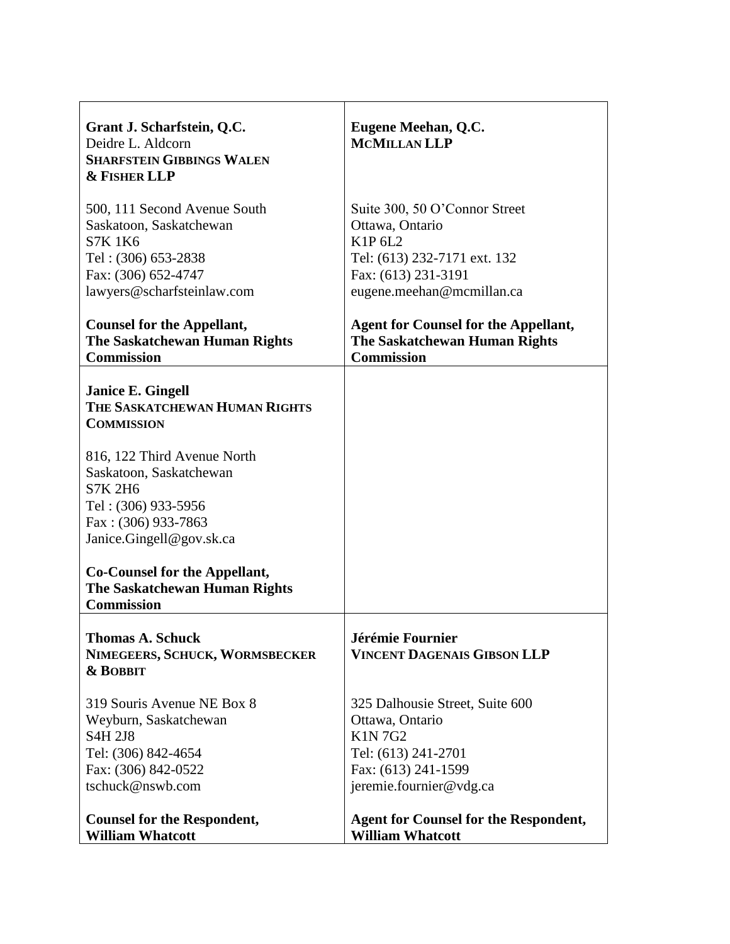| Grant J. Scharfstein, Q.C.<br>Deidre L. Aldcorn<br><b>SHARFSTEIN GIBBINGS WALEN</b><br><b>&amp; FISHER LLP</b>                                           | Eugene Meehan, Q.C.<br><b>MCMILLAN LLP</b>                                                                                                      |
|----------------------------------------------------------------------------------------------------------------------------------------------------------|-------------------------------------------------------------------------------------------------------------------------------------------------|
| 500, 111 Second Avenue South<br>Saskatoon, Saskatchewan<br><b>S7K1K6</b><br>Tel: (306) 653-2838<br>Fax: (306) 652-4747<br>lawyers@scharfsteinlaw.com     | Suite 300, 50 O'Connor Street<br>Ottawa, Ontario<br>K1P 6L2<br>Tel: (613) 232-7171 ext. 132<br>Fax: (613) 231-3191<br>eugene.meehan@mcmillan.ca |
| <b>Counsel for the Appellant,</b><br>The Saskatchewan Human Rights<br><b>Commission</b>                                                                  | <b>Agent for Counsel for the Appellant,</b><br><b>The Saskatchewan Human Rights</b><br><b>Commission</b>                                        |
| <b>Janice E. Gingell</b><br>THE SASKATCHEWAN HUMAN RIGHTS<br><b>COMMISSION</b>                                                                           |                                                                                                                                                 |
| 816, 122 Third Avenue North<br>Saskatoon, Saskatchewan<br><b>S7K 2H6</b><br>Tel: (306) 933-5956<br>Fax: (306) 933-7863<br>Janice.Gingell@gov.sk.ca       |                                                                                                                                                 |
| Co-Counsel for the Appellant,<br><b>The Saskatchewan Human Rights</b><br><b>Commission</b>                                                               |                                                                                                                                                 |
| <b>Thomas A. Schuck</b><br>NIMEGEERS, SCHUCK, WORMSBECKER<br>& BOBBIT                                                                                    | Jérémie Fournier<br><b>VINCENT DAGENAIS GIBSON LLP</b>                                                                                          |
| 319 Souris Avenue NE Box 8<br>Weyburn, Saskatchewan<br>S <sub>4</sub> H <sub>2J8</sub><br>Tel: (306) 842-4654<br>Fax: (306) 842-0522<br>tschuck@nswb.com | 325 Dalhousie Street, Suite 600<br>Ottawa, Ontario<br><b>K1N7G2</b><br>Tel: (613) 241-2701<br>Fax: (613) 241-1599<br>jeremie.fournier@vdg.ca    |
| <b>Counsel for the Respondent,</b><br><b>William Whatcott</b>                                                                                            | <b>Agent for Counsel for the Respondent,</b><br><b>William Whatcott</b>                                                                         |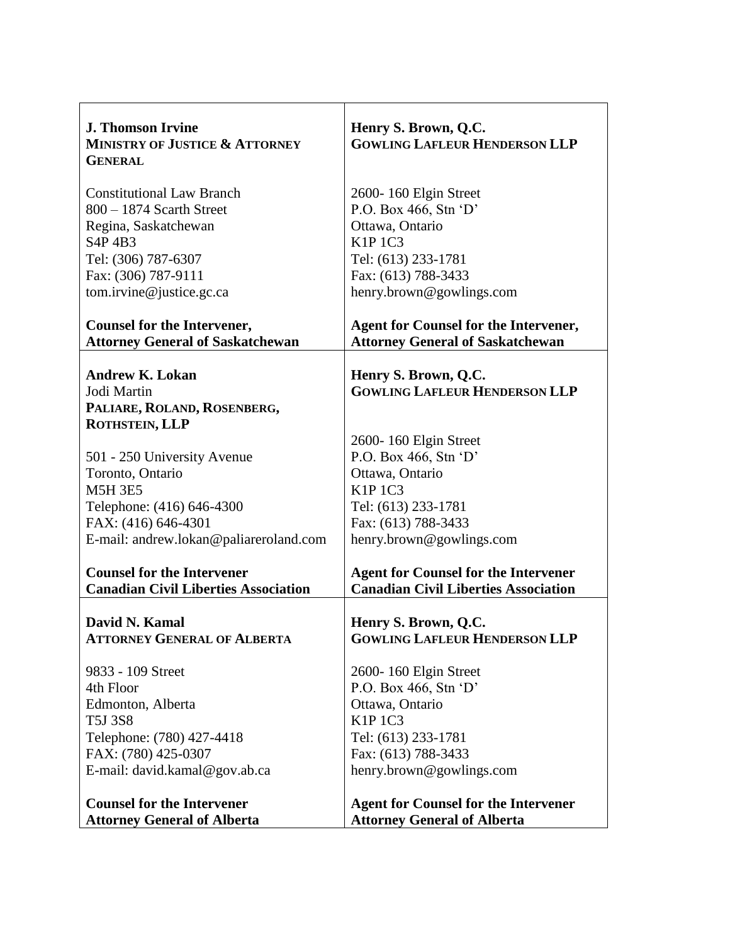| <b>J. Thomson Irvine</b><br><b>MINISTRY OF JUSTICE &amp; ATTORNEY</b><br><b>GENERAL</b> | Henry S. Brown, Q.C.<br><b>GOWLING LAFLEUR HENDERSON LLP</b>                            |
|-----------------------------------------------------------------------------------------|-----------------------------------------------------------------------------------------|
| <b>Constitutional Law Branch</b>                                                        | 2600-160 Elgin Street                                                                   |
| $800 - 1874$ Scarth Street                                                              | P.O. Box 466, Stn 'D'                                                                   |
| Regina, Saskatchewan                                                                    | Ottawa, Ontario                                                                         |
| S <sub>4</sub> P <sub>4</sub> B <sub>3</sub>                                            | <b>K1P 1C3</b>                                                                          |
| Tel: (306) 787-6307                                                                     | Tel: (613) 233-1781                                                                     |
| Fax: (306) 787-9111                                                                     | Fax: (613) 788-3433                                                                     |
| tom.irvine@justice.gc.ca                                                                | henry.brown@gowlings.com                                                                |
| <b>Counsel for the Intervener,</b><br><b>Attorney General of Saskatchewan</b>           | <b>Agent for Counsel for the Intervener,</b><br><b>Attorney General of Saskatchewan</b> |
| <b>Andrew K. Lokan</b>                                                                  | Henry S. Brown, Q.C.                                                                    |
| Jodi Martin                                                                             | <b>GOWLING LAFLEUR HENDERSON LLP</b>                                                    |
| PALIARE, ROLAND, ROSENBERG,                                                             |                                                                                         |
| ROTHSTEIN, LLP                                                                          |                                                                                         |
|                                                                                         | 2600-160 Elgin Street                                                                   |
| 501 - 250 University Avenue                                                             | P.O. Box 466, Stn 'D'                                                                   |
| Toronto, Ontario                                                                        | Ottawa, Ontario                                                                         |
| <b>M5H 3E5</b>                                                                          | <b>K1P 1C3</b>                                                                          |
| Telephone: (416) 646-4300                                                               | Tel: (613) 233-1781                                                                     |
| FAX: (416) 646-4301                                                                     | Fax: (613) 788-3433                                                                     |
| E-mail: andrew.lokan@paliareroland.com                                                  | henry.brown@gowlings.com                                                                |
| <b>Counsel for the Intervener</b>                                                       | <b>Agent for Counsel for the Intervener</b>                                             |
| <b>Canadian Civil Liberties Association</b>                                             | <b>Canadian Civil Liberties Association</b>                                             |
|                                                                                         |                                                                                         |
| David N. Kamal                                                                          | Henry S. Brown, Q.C.                                                                    |
| <b>ATTORNEY GENERAL OF ALBERTA</b>                                                      | <b>GOWLING LAFLEUR HENDERSON LLP</b>                                                    |
| 9833 - 109 Street                                                                       | 2600-160 Elgin Street                                                                   |
| 4th Floor                                                                               | P.O. Box 466, Stn $\lq D$                                                               |
| Edmonton, Alberta                                                                       | Ottawa, Ontario                                                                         |
| <b>T5J 3S8</b>                                                                          | <b>K1P 1C3</b>                                                                          |
| Telephone: (780) 427-4418                                                               | Tel: (613) 233-1781                                                                     |
| FAX: (780) 425-0307                                                                     | Fax: (613) 788-3433                                                                     |
| E-mail: david.kamal@gov.ab.ca                                                           | henry.brown@gowlings.com                                                                |
| <b>Counsel for the Intervener</b>                                                       | <b>Agent for Counsel for the Intervener</b>                                             |
| <b>Attorney General of Alberta</b>                                                      | <b>Attorney General of Alberta</b>                                                      |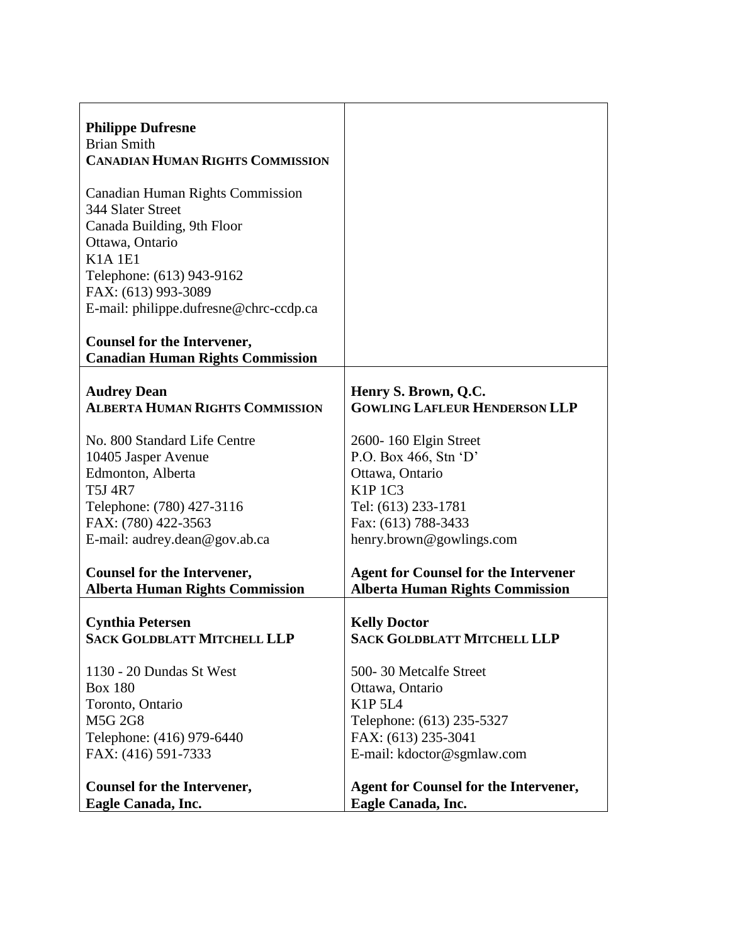| <b>Philippe Dufresne</b><br><b>Brian Smith</b><br><b>CANADIAN HUMAN RIGHTS COMMISSION</b>                                                                                                                                    |                                              |
|------------------------------------------------------------------------------------------------------------------------------------------------------------------------------------------------------------------------------|----------------------------------------------|
| <b>Canadian Human Rights Commission</b><br>344 Slater Street<br>Canada Building, 9th Floor<br>Ottawa, Ontario<br><b>K1A1E1</b><br>Telephone: (613) 943-9162<br>FAX: (613) 993-3089<br>E-mail: philippe.dufresne@chrc-ccdp.ca |                                              |
| <b>Counsel for the Intervener,</b><br><b>Canadian Human Rights Commission</b>                                                                                                                                                |                                              |
| <b>Audrey Dean</b>                                                                                                                                                                                                           | Henry S. Brown, Q.C.                         |
| <b>ALBERTA HUMAN RIGHTS COMMISSION</b>                                                                                                                                                                                       | <b>GOWLING LAFLEUR HENDERSON LLP</b>         |
| No. 800 Standard Life Centre                                                                                                                                                                                                 | 2600-160 Elgin Street                        |
| 10405 Jasper Avenue                                                                                                                                                                                                          | P.O. Box 466, Stn 'D'                        |
| Edmonton, Alberta                                                                                                                                                                                                            | Ottawa, Ontario                              |
| <b>T5J 4R7</b>                                                                                                                                                                                                               | <b>K1P 1C3</b>                               |
| Telephone: (780) 427-3116                                                                                                                                                                                                    | Tel: (613) 233-1781                          |
| FAX: (780) 422-3563                                                                                                                                                                                                          | Fax: (613) 788-3433                          |
| E-mail: audrey.dean@gov.ab.ca                                                                                                                                                                                                | henry.brown@gowlings.com                     |
| <b>Counsel for the Intervener,</b>                                                                                                                                                                                           | <b>Agent for Counsel for the Intervener</b>  |
| <b>Alberta Human Rights Commission</b>                                                                                                                                                                                       | <b>Alberta Human Rights Commission</b>       |
| <b>Cynthia Petersen</b>                                                                                                                                                                                                      | <b>Kelly Doctor</b>                          |
| <b>SACK GOLDBLATT MITCHELL LLP</b>                                                                                                                                                                                           | <b>SACK GOLDBLATT MITCHELL LLP</b>           |
| 1130 - 20 Dundas St West                                                                                                                                                                                                     | 500-30 Metcalfe Street                       |
| <b>Box 180</b>                                                                                                                                                                                                               | Ottawa, Ontario                              |
| Toronto, Ontario                                                                                                                                                                                                             | K1P 5L4                                      |
| <b>M5G 2G8</b>                                                                                                                                                                                                               | Telephone: (613) 235-5327                    |
| Telephone: (416) 979-6440                                                                                                                                                                                                    | FAX: (613) 235-3041                          |
| FAX: (416) 591-7333                                                                                                                                                                                                          | E-mail: kdoctor@sgmlaw.com                   |
| <b>Counsel for the Intervener,</b>                                                                                                                                                                                           | <b>Agent for Counsel for the Intervener,</b> |
| Eagle Canada, Inc.                                                                                                                                                                                                           | Eagle Canada, Inc.                           |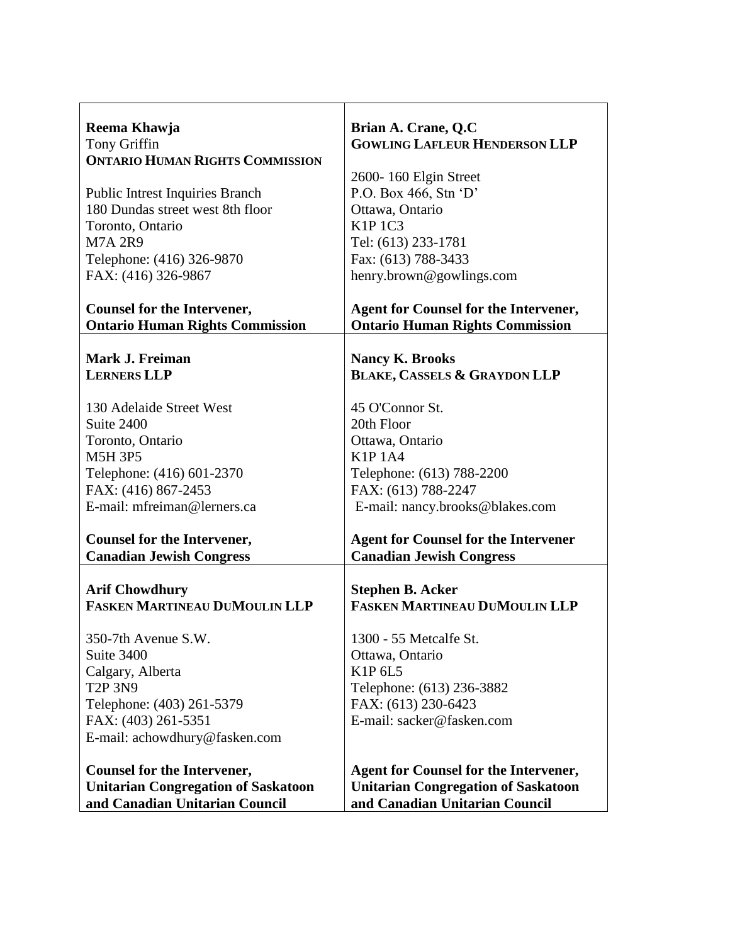| Reema Khawja<br>Tony Griffin                                                 | Brian A. Crane, Q.C<br><b>GOWLING LAFLEUR HENDERSON LLP</b>                            |
|------------------------------------------------------------------------------|----------------------------------------------------------------------------------------|
| <b>ONTARIO HUMAN RIGHTS COMMISSION</b>                                       |                                                                                        |
|                                                                              | 2600-160 Elgin Street                                                                  |
| Public Intrest Inquiries Branch                                              | P.O. Box 466, Stn 'D'                                                                  |
| 180 Dundas street west 8th floor                                             | Ottawa, Ontario                                                                        |
| Toronto, Ontario                                                             | <b>K1P 1C3</b>                                                                         |
| <b>M7A 2R9</b>                                                               | Tel: (613) 233-1781                                                                    |
| Telephone: (416) 326-9870                                                    | Fax: (613) 788-3433                                                                    |
| FAX: (416) 326-9867                                                          | henry.brown@gowlings.com                                                               |
| <b>Counsel for the Intervener,</b><br><b>Ontario Human Rights Commission</b> | <b>Agent for Counsel for the Intervener,</b><br><b>Ontario Human Rights Commission</b> |
|                                                                              |                                                                                        |
| Mark J. Freiman                                                              | <b>Nancy K. Brooks</b>                                                                 |
| <b>LERNERS LLP</b>                                                           | <b>BLAKE, CASSELS &amp; GRAYDON LLP</b>                                                |
|                                                                              |                                                                                        |
| 130 Adelaide Street West                                                     | 45 O'Connor St.                                                                        |
| Suite 2400                                                                   | 20th Floor                                                                             |
| Toronto, Ontario                                                             | Ottawa, Ontario                                                                        |
| <b>M5H 3P5</b>                                                               | <b>K1P1A4</b>                                                                          |
| Telephone: (416) 601-2370                                                    | Telephone: (613) 788-2200                                                              |
| FAX: (416) 867-2453                                                          | FAX: (613) 788-2247                                                                    |
| E-mail: mfreiman@lerners.ca                                                  | E-mail: nancy.brooks@blakes.com                                                        |
| <b>Counsel for the Intervener,</b>                                           | <b>Agent for Counsel for the Intervener</b>                                            |
| <b>Canadian Jewish Congress</b>                                              | <b>Canadian Jewish Congress</b>                                                        |
|                                                                              |                                                                                        |
| <b>Arif Chowdhury</b>                                                        | <b>Stephen B. Acker</b>                                                                |
| <b>FASKEN MARTINEAU DUMOULIN LLP</b>                                         | <b>FASKEN MARTINEAU DUMOULIN LLP</b>                                                   |
| 350-7th Avenue S.W.                                                          | 1300 - 55 Metcalfe St.                                                                 |
| Suite 3400                                                                   | Ottawa, Ontario                                                                        |
| Calgary, Alberta                                                             | K1P 6L5                                                                                |
| <b>T2P 3N9</b>                                                               | Telephone: (613) 236-3882                                                              |
| Telephone: (403) 261-5379                                                    | FAX: (613) 230-6423                                                                    |
| FAX: (403) 261-5351                                                          | E-mail: sacker@fasken.com                                                              |
| E-mail: achowdhury@fasken.com                                                |                                                                                        |
| <b>Counsel for the Intervener,</b>                                           | <b>Agent for Counsel for the Intervener,</b>                                           |
| <b>Unitarian Congregation of Saskatoon</b>                                   | <b>Unitarian Congregation of Saskatoon</b>                                             |
| and Canadian Unitarian Council                                               | and Canadian Unitarian Council                                                         |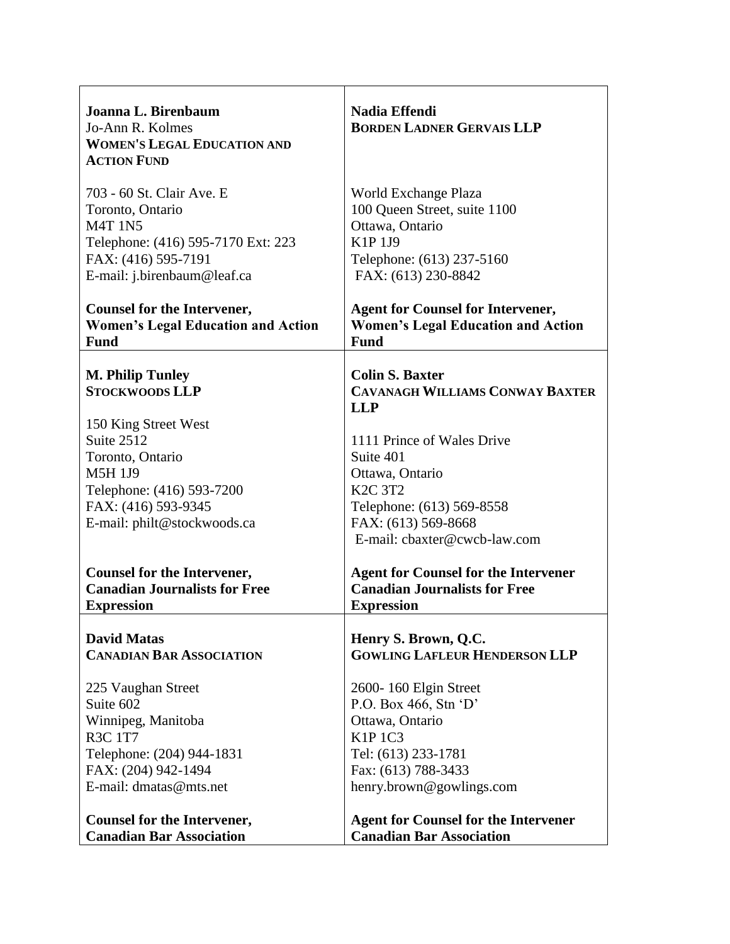| Joanna L. Birenbaum<br>Jo-Ann R. Kolmes<br><b>WOMEN'S LEGAL EDUCATION AND</b><br><b>ACTION FUND</b> | <b>Nadia Effendi</b><br><b>BORDEN LADNER GERVAIS LLP</b>                       |
|-----------------------------------------------------------------------------------------------------|--------------------------------------------------------------------------------|
| 703 - 60 St. Clair Ave. E                                                                           | World Exchange Plaza                                                           |
| Toronto, Ontario                                                                                    | 100 Queen Street, suite 1100                                                   |
| <b>M4T 1N5</b>                                                                                      | Ottawa, Ontario                                                                |
| Telephone: (416) 595-7170 Ext: 223                                                                  | K1P 1J9                                                                        |
| FAX: (416) 595-7191                                                                                 | Telephone: (613) 237-5160                                                      |
| E-mail: j.birenbaum@leaf.ca                                                                         | FAX: (613) 230-8842                                                            |
| <b>Counsel for the Intervener,</b>                                                                  | <b>Agent for Counsel for Intervener,</b>                                       |
| <b>Women's Legal Education and Action</b>                                                           | <b>Women's Legal Education and Action</b>                                      |
| <b>Fund</b>                                                                                         | <b>Fund</b>                                                                    |
| <b>M. Philip Tunley</b><br><b>STOCKWOODS LLP</b>                                                    | <b>Colin S. Baxter</b><br><b>CAVANAGH WILLIAMS CONWAY BAXTER</b><br><b>LLP</b> |
| 150 King Street West                                                                                | 1111 Prince of Wales Drive                                                     |
| Suite 2512                                                                                          | Suite 401                                                                      |
| Toronto, Ontario                                                                                    | Ottawa, Ontario                                                                |
| <b>M5H 1J9</b>                                                                                      | <b>K2C 3T2</b>                                                                 |
| Telephone: (416) 593-7200                                                                           | Telephone: (613) 569-8558                                                      |
| FAX: (416) 593-9345                                                                                 | FAX: (613) 569-8668                                                            |
| E-mail: philt@stockwoods.ca                                                                         | E-mail: cbaxter@cwcb-law.com                                                   |
| <b>Counsel for the Intervener,</b>                                                                  | <b>Agent for Counsel for the Intervener</b>                                    |
| <b>Canadian Journalists for Free</b>                                                                | <b>Canadian Journalists for Free</b>                                           |
| <b>Expression</b>                                                                                   | <b>Expression</b>                                                              |
| <b>David Matas</b>                                                                                  | Henry S. Brown, Q.C.                                                           |
| <b>CANADIAN BAR ASSOCIATION</b>                                                                     | <b>GOWLING LAFLEUR HENDERSON LLP</b>                                           |
| 225 Vaughan Street                                                                                  | 2600-160 Elgin Street                                                          |
| Suite 602                                                                                           | P.O. Box 466, Stn $\lq D$                                                      |
| Winnipeg, Manitoba                                                                                  | Ottawa, Ontario                                                                |
| <b>R3C 1T7</b>                                                                                      | <b>K1P 1C3</b>                                                                 |
| Telephone: (204) 944-1831                                                                           | Tel: (613) 233-1781                                                            |
| FAX: (204) 942-1494                                                                                 | Fax: (613) 788-3433                                                            |
| E-mail: dmatas@mts.net                                                                              | henry.brown@gowlings.com                                                       |
| <b>Counsel for the Intervener,</b>                                                                  | <b>Agent for Counsel for the Intervener</b>                                    |
| <b>Canadian Bar Association</b>                                                                     | <b>Canadian Bar Association</b>                                                |

 $\mathsf{r}$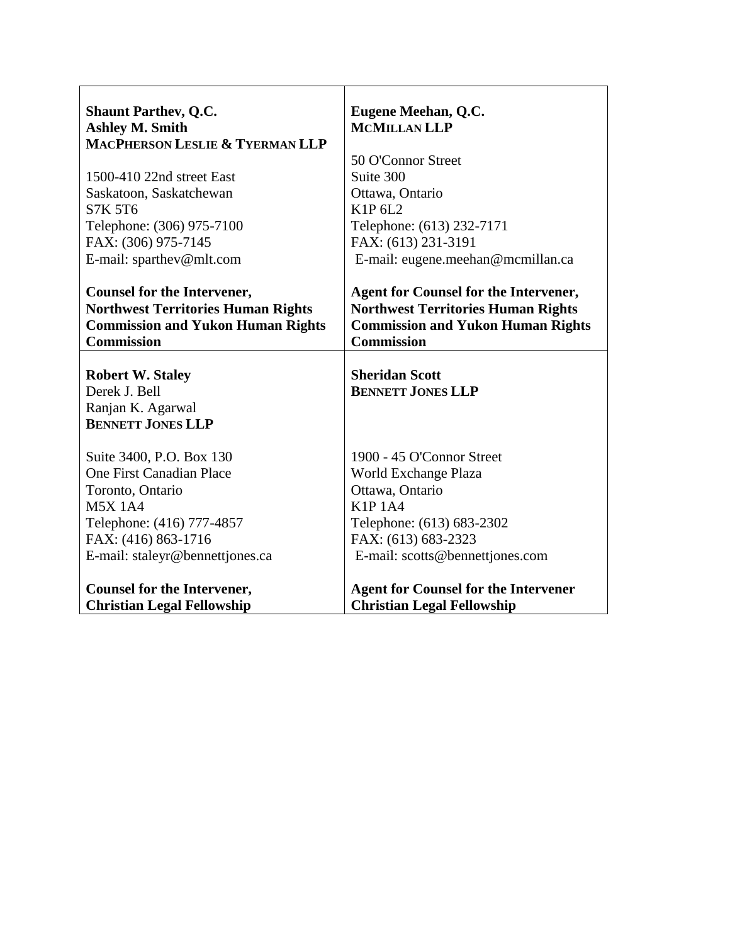| <b>Shaunt Parthev, Q.C.</b><br><b>Ashley M. Smith</b> | Eugene Meehan, Q.C.<br><b>MCMILLAN LLP</b>   |
|-------------------------------------------------------|----------------------------------------------|
| MACPHERSON LESLIE & TYERMAN LLP                       |                                              |
|                                                       | 50 O'Connor Street                           |
| 1500-410 22nd street East                             | Suite 300                                    |
| Saskatoon, Saskatchewan                               | Ottawa, Ontario                              |
| <b>S7K 5T6</b>                                        | K1P 6L2                                      |
| Telephone: (306) 975-7100                             | Telephone: (613) 232-7171                    |
| FAX: (306) 975-7145                                   | FAX: (613) 231-3191                          |
| E-mail: sparthev@mlt.com                              | E-mail: eugene.meehan@mcmillan.ca            |
|                                                       |                                              |
| <b>Counsel for the Intervener,</b>                    | <b>Agent for Counsel for the Intervener,</b> |
| <b>Northwest Territories Human Rights</b>             | <b>Northwest Territories Human Rights</b>    |
| <b>Commission and Yukon Human Rights</b>              | <b>Commission and Yukon Human Rights</b>     |
| <b>Commission</b>                                     | <b>Commission</b>                            |
|                                                       |                                              |
| <b>Robert W. Staley</b>                               | <b>Sheridan Scott</b>                        |
| Derek J. Bell                                         | <b>BENNETT JONES LLP</b>                     |
| Ranjan K. Agarwal                                     |                                              |
| <b>BENNETT JONES LLP</b>                              |                                              |
|                                                       |                                              |
| Suite 3400, P.O. Box 130                              | 1900 - 45 O'Connor Street                    |
| One First Canadian Place                              | World Exchange Plaza                         |
| Toronto, Ontario                                      | Ottawa, Ontario                              |
| <b>M5X 1A4</b>                                        | <b>K1P1A4</b>                                |
| Telephone: (416) 777-4857                             | Telephone: (613) 683-2302                    |
| FAX: (416) 863-1716                                   | FAX: (613) 683-2323                          |
| E-mail: staleyr@bennettjones.ca                       | E-mail: scotts@bennettjones.com              |
|                                                       |                                              |
|                                                       |                                              |
| <b>Counsel for the Intervener,</b>                    | <b>Agent for Counsel for the Intervener</b>  |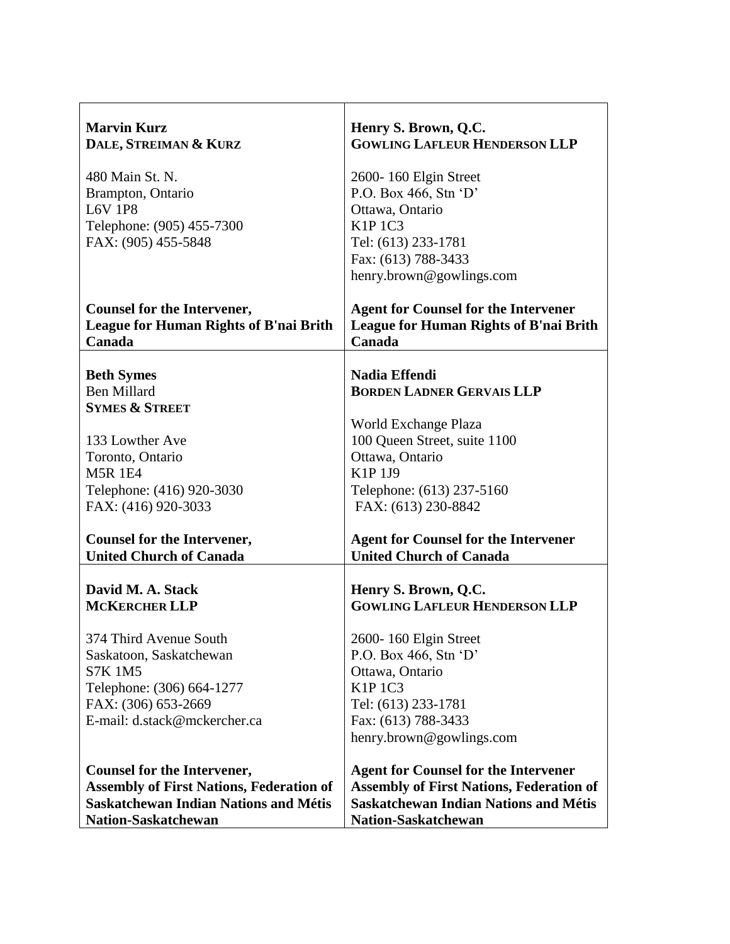| <b>Marvin Kurz</b><br>DALE, STREIMAN & KURZ                                                   | Henry S. Brown, Q.C.<br><b>GOWLING LAFLEUR HENDERSON LLP</b>                                           |
|-----------------------------------------------------------------------------------------------|--------------------------------------------------------------------------------------------------------|
| 480 Main St. N.                                                                               | 2600-160 Elgin Street                                                                                  |
| Brampton, Ontario<br><b>L6V 1P8</b>                                                           | P.O. Box 466, Stn 'D'<br>Ottawa, Ontario                                                               |
| Telephone: (905) 455-7300                                                                     | <b>K1P 1C3</b>                                                                                         |
| FAX: (905) 455-5848                                                                           | Tel: (613) 233-1781                                                                                    |
|                                                                                               | Fax: (613) 788-3433                                                                                    |
|                                                                                               | henry.brown@gowlings.com                                                                               |
| <b>Counsel for the Intervener,</b><br><b>League for Human Rights of B'nai Brith</b><br>Canada | <b>Agent for Counsel for the Intervener</b><br><b>League for Human Rights of B'nai Brith</b><br>Canada |
| <b>Beth Symes</b>                                                                             | Nadia Effendi                                                                                          |
| <b>Ben Millard</b>                                                                            | <b>BORDEN LADNER GERVAIS LLP</b>                                                                       |
| <b>SYMES &amp; STREET</b>                                                                     |                                                                                                        |
|                                                                                               | World Exchange Plaza                                                                                   |
| 133 Lowther Ave                                                                               | 100 Queen Street, suite 1100                                                                           |
| Toronto, Ontario<br><b>M5R 1E4</b>                                                            | Ottawa, Ontario<br>K1P 1J9                                                                             |
| Telephone: (416) 920-3030                                                                     | Telephone: (613) 237-5160                                                                              |
| FAX: (416) 920-3033                                                                           | FAX: (613) 230-8842                                                                                    |
| <b>Counsel for the Intervener,</b>                                                            | <b>Agent for Counsel for the Intervener</b>                                                            |
| <b>United Church of Canada</b>                                                                | <b>United Church of Canada</b>                                                                         |
|                                                                                               |                                                                                                        |
| David M. A. Stack<br><b>MCKERCHER LLP</b>                                                     | Henry S. Brown, Q.C.<br><b>GOWLING LAFLEUR HENDERSON LLP</b>                                           |
|                                                                                               |                                                                                                        |
| 374 Third Avenue South                                                                        | 2600-160 Elgin Street                                                                                  |
| Saskatoon, Saskatchewan                                                                       | P.O. Box 466, Stn $\lq D$                                                                              |
| <b>S7K 1M5</b>                                                                                | Ottawa, Ontario                                                                                        |
| Telephone: (306) 664-1277<br>FAX: (306) 653-2669                                              | <b>K1P 1C3</b><br>Tel: (613) 233-1781                                                                  |
| E-mail: d.stack@mckercher.ca                                                                  | Fax: (613) 788-3433                                                                                    |
|                                                                                               | henry.brown@gowlings.com                                                                               |
| <b>Counsel for the Intervener,</b>                                                            | <b>Agent for Counsel for the Intervener</b>                                                            |
| <b>Assembly of First Nations, Federation of</b>                                               | <b>Assembly of First Nations, Federation of</b>                                                        |
| <b>Saskatchewan Indian Nations and Métis</b>                                                  | <b>Saskatchewan Indian Nations and Métis</b>                                                           |
| <b>Nation-Saskatchewan</b>                                                                    | <b>Nation-Saskatchewan</b>                                                                             |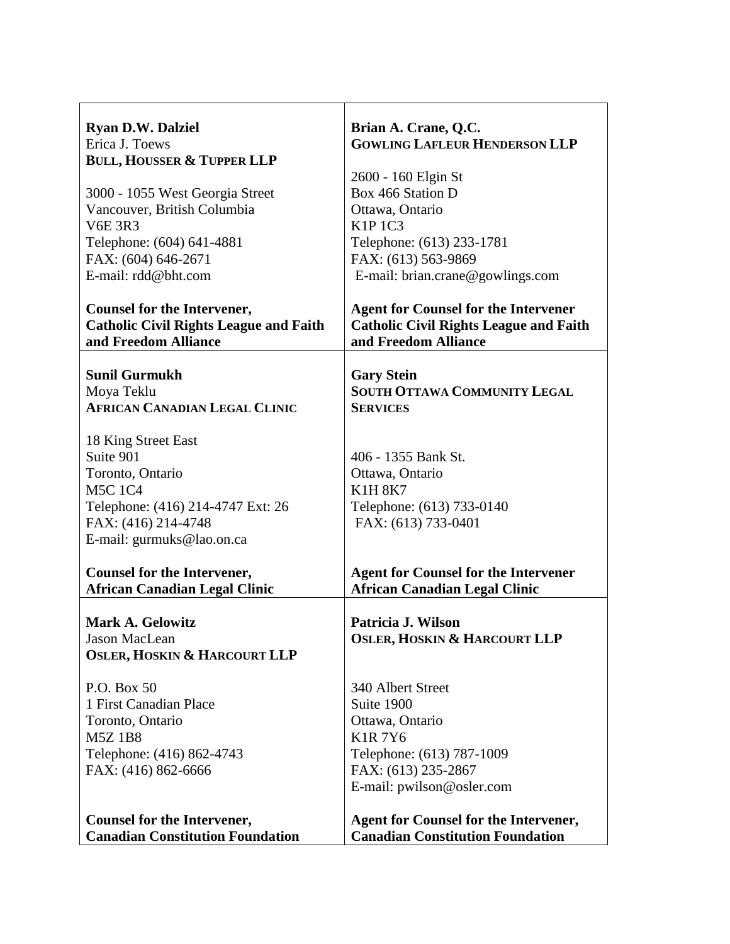| <b>Ryan D.W. Dalziel</b>                                                                                                                                        | Brian A. Crane, Q.C.                                                                                                                                 |
|-----------------------------------------------------------------------------------------------------------------------------------------------------------------|------------------------------------------------------------------------------------------------------------------------------------------------------|
| Erica J. Toews                                                                                                                                                  | <b>GOWLING LAFLEUR HENDERSON LLP</b>                                                                                                                 |
| <b>BULL, HOUSSER &amp; TUPPER LLP</b>                                                                                                                           | 2600 - 160 Elgin St                                                                                                                                  |
| 3000 - 1055 West Georgia Street                                                                                                                                 | Box 466 Station D                                                                                                                                    |
| Vancouver, British Columbia                                                                                                                                     | Ottawa, Ontario                                                                                                                                      |
| <b>V6E 3R3</b>                                                                                                                                                  | <b>K1P 1C3</b>                                                                                                                                       |
| Telephone: (604) 641-4881                                                                                                                                       | Telephone: (613) 233-1781                                                                                                                            |
| FAX: (604) 646-2671                                                                                                                                             | FAX: (613) 563-9869                                                                                                                                  |
| E-mail: rdd@bht.com                                                                                                                                             | E-mail: brian.crane@gowlings.com                                                                                                                     |
| <b>Counsel for the Intervener,</b>                                                                                                                              | <b>Agent for Counsel for the Intervener</b>                                                                                                          |
| <b>Catholic Civil Rights League and Faith</b>                                                                                                                   | <b>Catholic Civil Rights League and Faith</b>                                                                                                        |
| and Freedom Alliance                                                                                                                                            | and Freedom Alliance                                                                                                                                 |
| <b>Sunil Gurmukh</b>                                                                                                                                            | <b>Gary Stein</b>                                                                                                                                    |
| Moya Teklu                                                                                                                                                      | <b>SOUTH OTTAWA COMMUNITY LEGAL</b>                                                                                                                  |
| <b>AFRICAN CANADIAN LEGAL CLINIC</b>                                                                                                                            | <b>SERVICES</b>                                                                                                                                      |
| 18 King Street East<br>Suite 901<br>Toronto, Ontario<br><b>M5C 1C4</b><br>Telephone: (416) 214-4747 Ext: 26<br>FAX: (416) 214-4748<br>E-mail: gurmuks@lao.on.ca | 406 - 1355 Bank St.<br>Ottawa, Ontario<br><b>K1H 8K7</b><br>Telephone: (613) 733-0140<br>FAX: (613) 733-0401                                         |
| <b>Counsel for the Intervener,</b>                                                                                                                              | <b>Agent for Counsel for the Intervener</b>                                                                                                          |
| <b>African Canadian Legal Clinic</b>                                                                                                                            | <b>African Canadian Legal Clinic</b>                                                                                                                 |
| <b>Mark A. Gelowitz</b><br>Jason MacLean<br><b>OSLER, HOSKIN &amp; HARCOURT LLP</b>                                                                             | Patricia J. Wilson<br><b>OSLER, HOSKIN &amp; HARCOURT LLP</b>                                                                                        |
| P.O. Box 50<br>1 First Canadian Place<br>Toronto, Ontario<br><b>M5Z1B8</b><br>Telephone: (416) 862-4743<br>FAX: (416) 862-6666                                  | 340 Albert Street<br>Suite 1900<br>Ottawa, Ontario<br><b>K1R7Y6</b><br>Telephone: (613) 787-1009<br>FAX: (613) 235-2867<br>E-mail: pwilson@osler.com |
| <b>Counsel for the Intervener,</b>                                                                                                                              | <b>Agent for Counsel for the Intervener,</b>                                                                                                         |
| <b>Canadian Constitution Foundation</b>                                                                                                                         | <b>Canadian Constitution Foundation</b>                                                                                                              |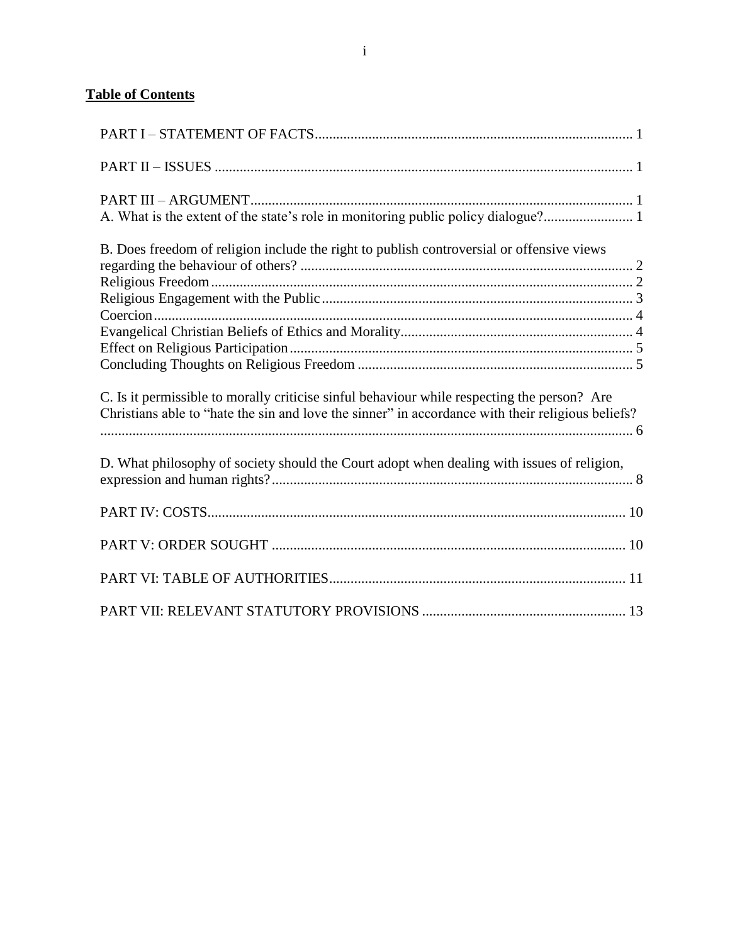# **Table of Contents**

<span id="page-9-0"></span>

| A. What is the extent of the state's role in monitoring public policy dialogue?                                                                                                                  |
|--------------------------------------------------------------------------------------------------------------------------------------------------------------------------------------------------|
| B. Does freedom of religion include the right to publish controversial or offensive views                                                                                                        |
|                                                                                                                                                                                                  |
|                                                                                                                                                                                                  |
|                                                                                                                                                                                                  |
| C. Is it permissible to morally criticise sinful behaviour while respecting the person? Are<br>Christians able to "hate the sin and love the sinner" in accordance with their religious beliefs? |
| D. What philosophy of society should the Court adopt when dealing with issues of religion,                                                                                                       |
|                                                                                                                                                                                                  |
|                                                                                                                                                                                                  |
|                                                                                                                                                                                                  |
|                                                                                                                                                                                                  |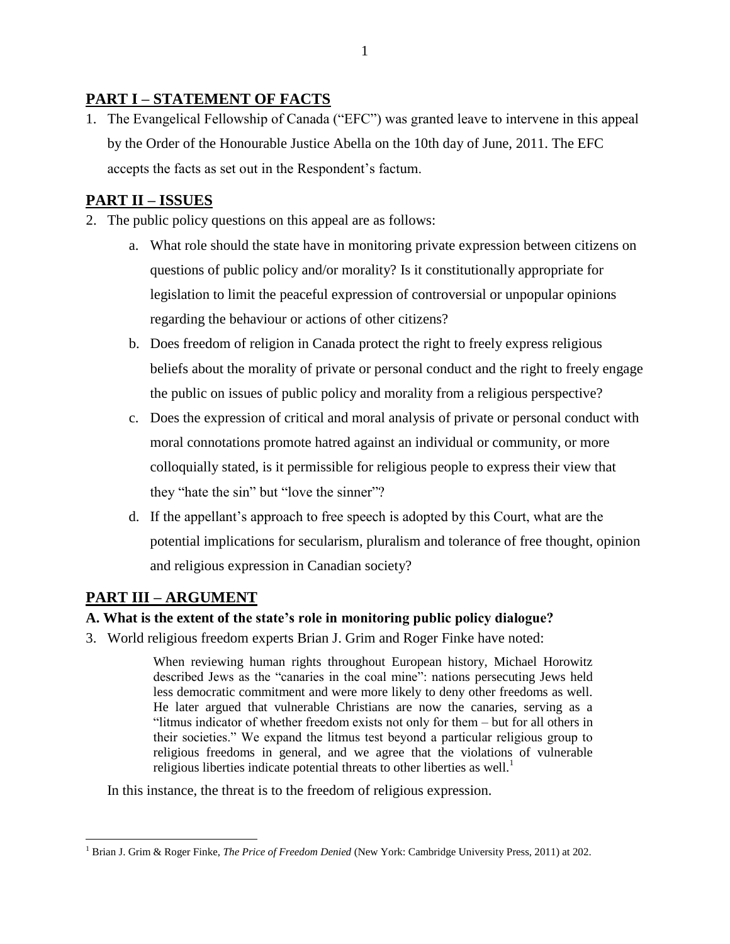# **PART I – STATEMENT OF FACTS**

1. The Evangelical Fellowship of Canada ("EFC") was granted leave to intervene in this appeal by the Order of the Honourable Justice Abella on the 10th day of June, 2011. The EFC accepts the facts as set out in the Respondent"s factum.

# <span id="page-10-0"></span>**PART II – ISSUES**

- 2. The public policy questions on this appeal are as follows:
	- a. What role should the state have in monitoring private expression between citizens on questions of public policy and/or morality? Is it constitutionally appropriate for legislation to limit the peaceful expression of controversial or unpopular opinions regarding the behaviour or actions of other citizens?
	- b. Does freedom of religion in Canada protect the right to freely express religious beliefs about the morality of private or personal conduct and the right to freely engage the public on issues of public policy and morality from a religious perspective?
	- c. Does the expression of critical and moral analysis of private or personal conduct with moral connotations promote hatred against an individual or community, or more colloquially stated, is it permissible for religious people to express their view that they "hate the sin" but "love the sinner"?
	- d. If the appellant"s approach to free speech is adopted by this Court, what are the potential implications for secularism, pluralism and tolerance of free thought, opinion and religious expression in Canadian society?

# <span id="page-10-1"></span>**PART III – ARGUMENT**

## <span id="page-10-2"></span>**A. What is the extent of the state's role in monitoring public policy dialogue?**

3. World religious freedom experts Brian J. Grim and Roger Finke have noted:

When reviewing human rights throughout European history, Michael Horowitz described Jews as the "canaries in the coal mine": nations persecuting Jews held less democratic commitment and were more likely to deny other freedoms as well. He later argued that vulnerable Christians are now the canaries, serving as a "litmus indicator of whether freedom exists not only for them – but for all others in their societies." We expand the litmus test beyond a particular religious group to religious freedoms in general, and we agree that the violations of vulnerable religious liberties indicate potential threats to other liberties as well.<sup>1</sup>

In this instance, the threat is to the freedom of religious expression.

 $\overline{a}$ <sup>1</sup> Brian J. Grim & Roger Finke, *The Price of Freedom Denied* (New York: Cambridge University Press, 2011) at 202.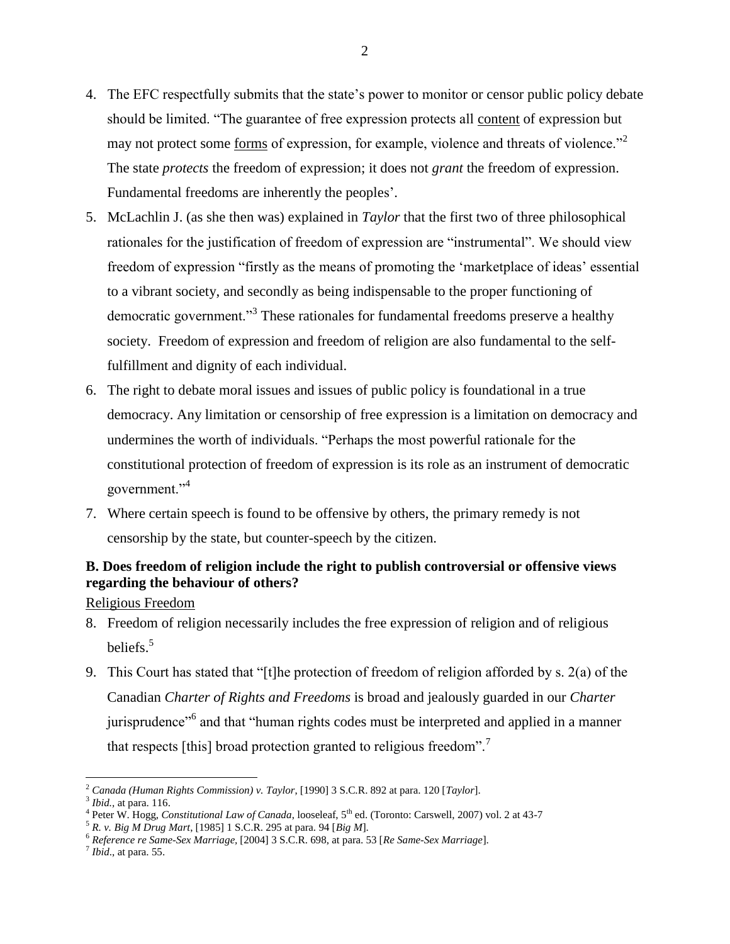- 4. The EFC respectfully submits that the state"s power to monitor or censor public policy debate should be limited. "The guarantee of free expression protects all content of expression but may not protect some <u>forms</u> of expression, for example, violence and threats of violence."<sup>2</sup> The state *protects* the freedom of expression; it does not *grant* the freedom of expression. Fundamental freedoms are inherently the peoples'.
- 5. McLachlin J. (as she then was) explained in *Taylor* that the first two of three philosophical rationales for the justification of freedom of expression are "instrumental". We should view freedom of expression "firstly as the means of promoting the 'marketplace of ideas' essential to a vibrant society, and secondly as being indispensable to the proper functioning of democratic government."<sup>3</sup> These rationales for fundamental freedoms preserve a healthy society. Freedom of expression and freedom of religion are also fundamental to the selffulfillment and dignity of each individual.
- 6. The right to debate moral issues and issues of public policy is foundational in a true democracy. Any limitation or censorship of free expression is a limitation on democracy and undermines the worth of individuals. "Perhaps the most powerful rationale for the constitutional protection of freedom of expression is its role as an instrument of democratic government."<sup>4</sup>
- 7. Where certain speech is found to be offensive by others, the primary remedy is not censorship by the state, but counter-speech by the citizen.

# <span id="page-11-0"></span>**B. Does freedom of religion include the right to publish controversial or offensive views regarding the behaviour of others?**

<span id="page-11-1"></span>Religious Freedom

- 8. Freedom of religion necessarily includes the free expression of religion and of religious beliefs.<sup>5</sup>
- 9. This Court has stated that "[t]he protection of freedom of religion afforded by s. 2(a) of the Canadian *Charter of Rights and Freedoms* is broad and jealously guarded in our *Charter* jurisprudence<sup>"6</sup> and that "human rights codes must be interpreted and applied in a manner that respects [this] broad protection granted to religious freedom".<sup>7</sup>

<sup>2</sup> *Canada (Human Rights Commission) v. Taylor*, [1990] 3 S.C.R. 892 at para. 120 [*Taylor*].

<sup>3</sup> *Ibid.,* at para. 116.

<sup>&</sup>lt;sup>4</sup> Peter W. Hogg, *Constitutional Law of Canada*, looseleaf, 5<sup>th</sup> ed. (Toronto: Carswell, 2007) vol. 2 at 43-7

<sup>5</sup> *R. v. Big M Drug Mart*, [1985] 1 S.C.R. 295 at para. 94 [*Big M*].

<sup>6</sup> *Reference re Same-Sex Marriage,* [2004] 3 S.C.R. 698, at para. 53 [*Re Same-Sex Marriage*].

 $<sup>7</sup>$  *Ibid.*, at para. 55.</sup>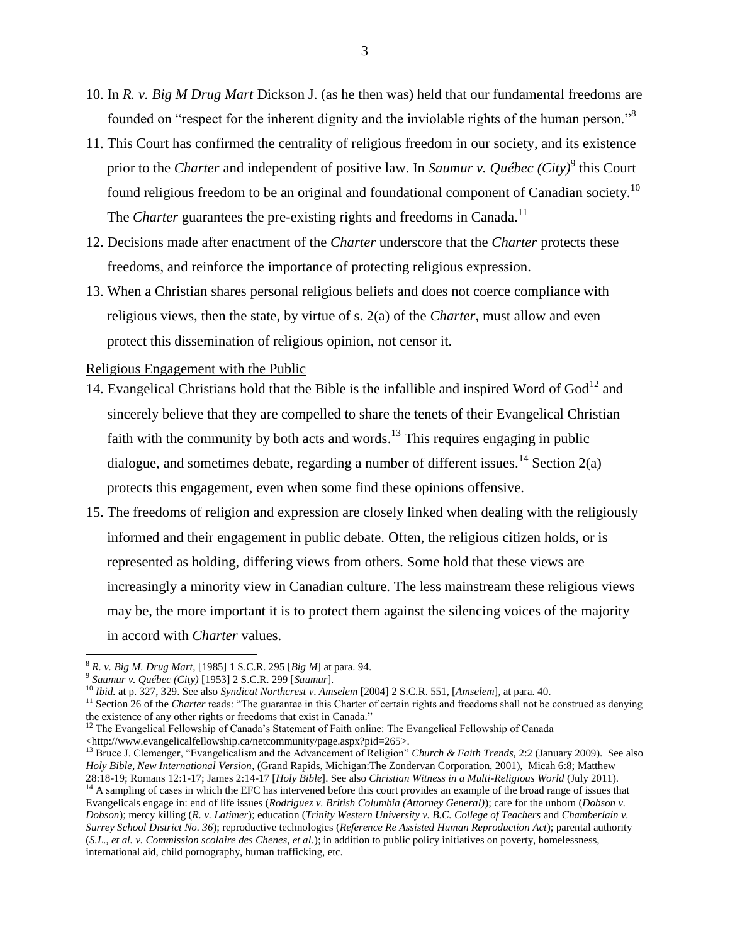- 10. In *R. v. Big M Drug Mart* Dickson J. (as he then was) held that our fundamental freedoms are founded on "respect for the inherent dignity and the inviolable rights of the human person."<sup>8</sup>
- 11. This Court has confirmed the centrality of religious freedom in our society, and its existence prior to the *Charter* and independent of positive law. In *Saumur v. Québec (City)*<sup>9</sup> this Court found religious freedom to be an original and foundational component of Canadian society.<sup>10</sup> The *Charter* guarantees the pre-existing rights and freedoms in Canada.<sup>11</sup>
- 12. Decisions made after enactment of the *Charter* underscore that the *Charter* protects these freedoms, and reinforce the importance of protecting religious expression.
- 13. When a Christian shares personal religious beliefs and does not coerce compliance with religious views, then the state, by virtue of s. 2(a) of the *Charter*, must allow and even protect this dissemination of religious opinion, not censor it.

<span id="page-12-0"></span>Religious Engagement with the Public

- 14. Evangelical Christians hold that the Bible is the infallible and inspired Word of  $God<sup>12</sup>$  and sincerely believe that they are compelled to share the tenets of their Evangelical Christian faith with the community by both acts and words.<sup>13</sup> This requires engaging in public dialogue, and sometimes debate, regarding a number of different issues.<sup>14</sup> Section 2(a) protects this engagement, even when some find these opinions offensive.
- 15. The freedoms of religion and expression are closely linked when dealing with the religiously informed and their engagement in public debate. Often, the religious citizen holds, or is represented as holding, differing views from others. Some hold that these views are increasingly a minority view in Canadian culture. The less mainstream these religious views may be, the more important it is to protect them against the silencing voices of the majority in accord with *Charter* values.

<sup>8</sup> *R. v. Big M. Drug Mart,* [1985] 1 S.C.R. 295 [*Big M*] at para. 94.

<sup>9</sup> *Saumur v. Québec (City)* [1953] 2 S.C.R. 299 [*Saumur*].

<sup>10</sup> *Ibid.* at p. 327, 329. See also *Syndicat Northcrest v*. *Amselem* [2004] 2 S.C.R. 551, [*Amselem*], at para. 40.

<sup>&</sup>lt;sup>11</sup> Section 26 of the *Charter* reads: "The guarantee in this Charter of certain rights and freedoms shall not be construed as denying the existence of any other rights or freedoms that exist in Canada."

<sup>&</sup>lt;sup>12</sup> The Evangelical Fellowship of Canada's Statement of Faith online: The Evangelical Fellowship of Canada <http://www.evangelicalfellowship.ca/netcommunity/page.aspx?pid=265>.

<sup>13</sup> Bruce J. Clemenger, "Evangelicalism and the Advancement of Religion" *Church & Faith Trends,* 2:2 (January 2009). See also *Holy Bible, New International Version*, (Grand Rapids, Michigan:The Zondervan Corporation, 2001), Micah 6:8; Matthew 28:18-19; Romans 12:1-17; James 2:14-17 [*Holy Bible*]. See also *Christian Witness in a Multi-Religious World* (July 2011). <sup>14</sup> A sampling of cases in which the EFC has intervened before this court provides an example of the broad range of issues that Evangelicals engage in: end of life issues (*Rodriguez v. British Columbia (Attorney General)*); care for the unborn (*Dobson v. Dobson*); mercy killing (*R. v. Latimer*); education (*Trinity Western University v. B.C. College of Teachers* and *Chamberlain v. Surrey School District No. 36*); reproductive technologies (*Reference Re Assisted Human Reproduction Act*); parental authority

<sup>(</sup>*S.L., et al. v. Commission scolaire des Chenes, et al.*); in addition to public policy initiatives on poverty, homelessness, international aid, child pornography, human trafficking, etc.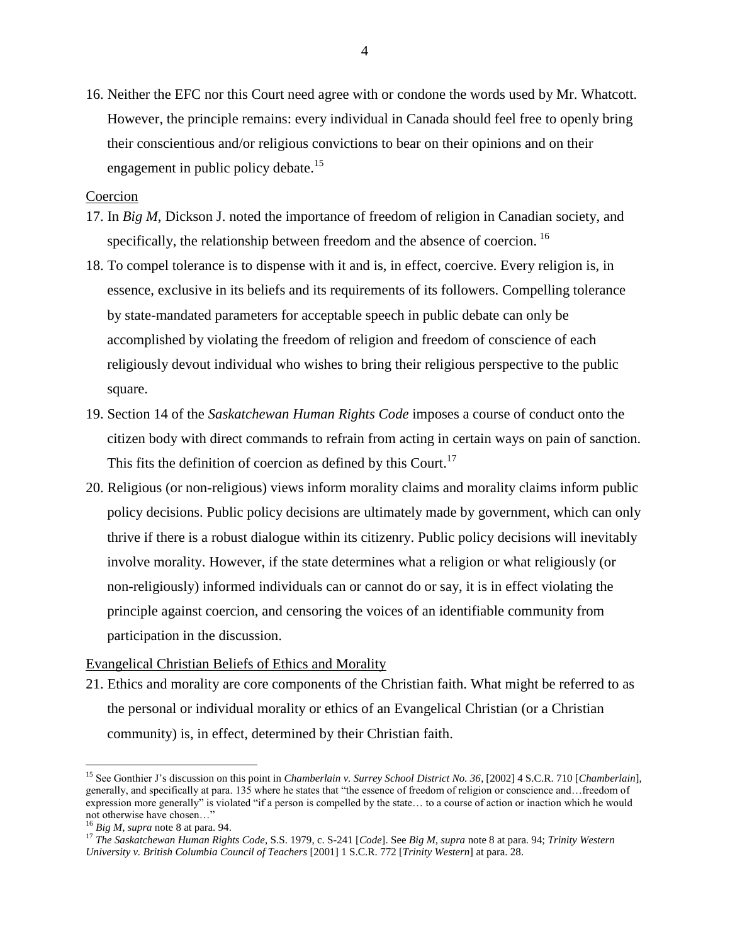16. Neither the EFC nor this Court need agree with or condone the words used by Mr. Whatcott. However, the principle remains: every individual in Canada should feel free to openly bring their conscientious and/or religious convictions to bear on their opinions and on their engagement in public policy debate.<sup>15</sup>

#### <span id="page-13-0"></span>Coercion

- 17. In *Big M*, Dickson J. noted the importance of freedom of religion in Canadian society, and specifically, the relationship between freedom and the absence of coercion. <sup>16</sup>
- 18. To compel tolerance is to dispense with it and is, in effect, coercive. Every religion is, in essence, exclusive in its beliefs and its requirements of its followers. Compelling tolerance by state-mandated parameters for acceptable speech in public debate can only be accomplished by violating the freedom of religion and freedom of conscience of each religiously devout individual who wishes to bring their religious perspective to the public square.
- 19. Section 14 of the *Saskatchewan Human Rights Code* imposes a course of conduct onto the citizen body with direct commands to refrain from acting in certain ways on pain of sanction. This fits the definition of coercion as defined by this Court.<sup>17</sup>
- 20. Religious (or non-religious) views inform morality claims and morality claims inform public policy decisions. Public policy decisions are ultimately made by government, which can only thrive if there is a robust dialogue within its citizenry. Public policy decisions will inevitably involve morality. However, if the state determines what a religion or what religiously (or non-religiously) informed individuals can or cannot do or say, it is in effect violating the principle against coercion, and censoring the voices of an identifiable community from participation in the discussion.

#### <span id="page-13-1"></span>Evangelical Christian Beliefs of Ethics and Morality

21. Ethics and morality are core components of the Christian faith. What might be referred to as the personal or individual morality or ethics of an Evangelical Christian (or a Christian community) is, in effect, determined by their Christian faith.

<sup>15</sup> See Gonthier J"s discussion on this point in *Chamberlain v. Surrey School District No. 36*, [2002] 4 S.C.R. 710 [*Chamberlain*], generally, and specifically at para. 135 where he states that "the essence of freedom of religion or conscience and…freedom of expression more generally" is violated "if a person is compelled by the state… to a course of action or inaction which he would not otherwise have chosen…"

<sup>16</sup> *Big M, supra* note 8 at para. 94.

<sup>17</sup> *The Saskatchewan Human Rights Code,* S.S. 1979, c. S-241 [*Code*]. See *Big M, supra* note 8 at para. 94; *Trinity Western University v. British Columbia Council of Teachers* [2001] 1 S.C.R. 772 [*Trinity Western*] at para. 28.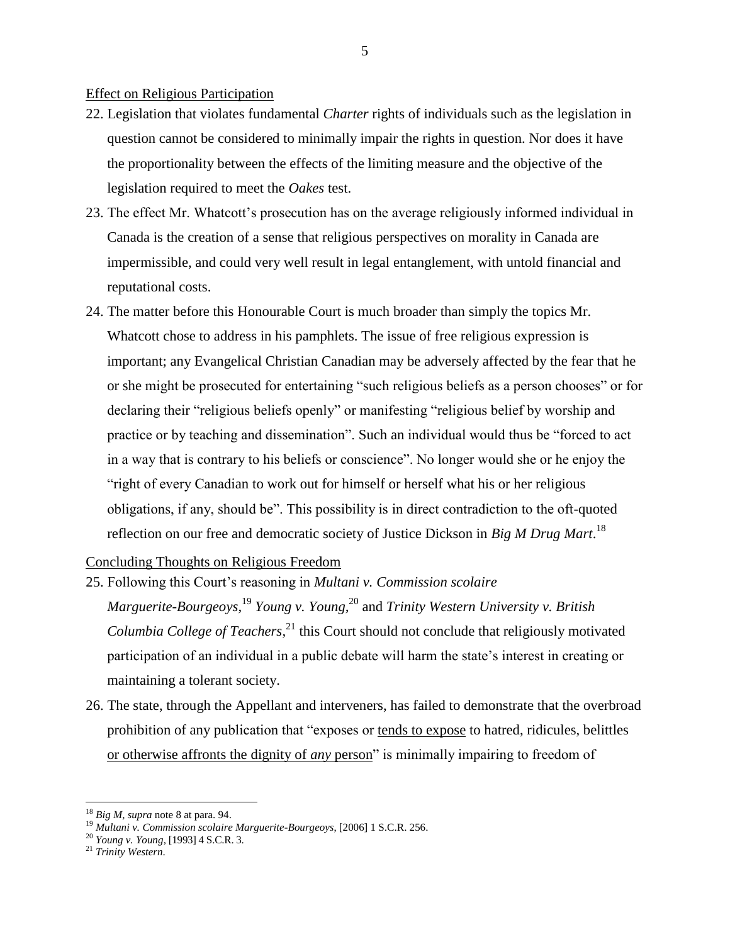#### <span id="page-14-0"></span>Effect on Religious Participation

- 22. Legislation that violates fundamental *Charter* rights of individuals such as the legislation in question cannot be considered to minimally impair the rights in question. Nor does it have the proportionality between the effects of the limiting measure and the objective of the legislation required to meet the *Oakes* test.
- 23. The effect Mr. Whatcott"s prosecution has on the average religiously informed individual in Canada is the creation of a sense that religious perspectives on morality in Canada are impermissible, and could very well result in legal entanglement, with untold financial and reputational costs.
- 24. The matter before this Honourable Court is much broader than simply the topics Mr. Whatcott chose to address in his pamphlets. The issue of free religious expression is important; any Evangelical Christian Canadian may be adversely affected by the fear that he or she might be prosecuted for entertaining "such religious beliefs as a person chooses" or for declaring their "religious beliefs openly" or manifesting "religious belief by worship and practice or by teaching and dissemination". Such an individual would thus be "forced to act in a way that is contrary to his beliefs or conscience". No longer would she or he enjoy the "right of every Canadian to work out for himself or herself what his or her religious obligations, if any, should be". This possibility is in direct contradiction to the oft-quoted reflection on our free and democratic society of Justice Dickson in *Big M Drug Mart*. 18

#### <span id="page-14-1"></span>Concluding Thoughts on Religious Freedom

- 25. Following this Court"s reasoning in *Multani v. Commission scolaire Marguerite-Bourgeoys,* <sup>19</sup> *Young v. Young,* <sup>20</sup> and *Trinity Western University v. British Columbia College of Teachers,* <sup>21</sup> this Court should not conclude that religiously motivated participation of an individual in a public debate will harm the state's interest in creating or maintaining a tolerant society.
- 26. The state, through the Appellant and interveners, has failed to demonstrate that the overbroad prohibition of any publication that "exposes or tends to expose to hatred, ridicules, belittles or otherwise affronts the dignity of *any* person" is minimally impairing to freedom of

<sup>18</sup> *Big M, supra* note 8 at para. 94.

<sup>19</sup> *Multani v. Commission scolaire Marguerite-Bourgeoys*, [2006] 1 S.C.R. 256.

<sup>20</sup> *Young v. Young*, [1993] 4 S.C.R. 3.

<sup>21</sup> *Trinity Western*.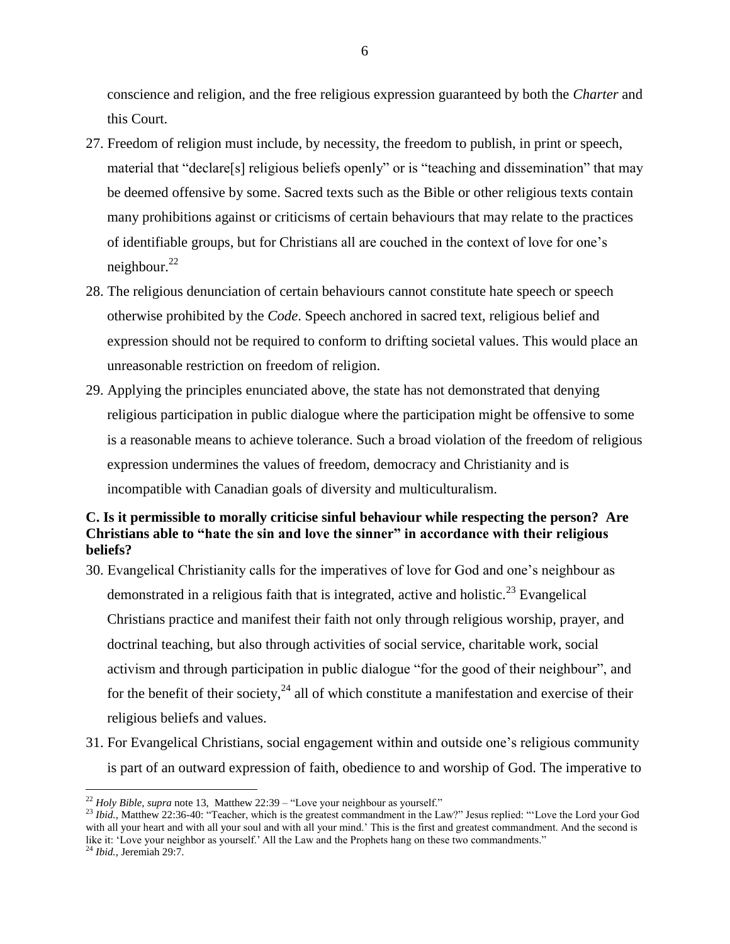conscience and religion, and the free religious expression guaranteed by both the *Charter* and this Court.

- 27. Freedom of religion must include, by necessity, the freedom to publish, in print or speech, material that "declare[s] religious beliefs openly" or is "teaching and dissemination" that may be deemed offensive by some. Sacred texts such as the Bible or other religious texts contain many prohibitions against or criticisms of certain behaviours that may relate to the practices of identifiable groups, but for Christians all are couched in the context of love for one"s neighbour.<sup>22</sup>
- 28. The religious denunciation of certain behaviours cannot constitute hate speech or speech otherwise prohibited by the *Code*. Speech anchored in sacred text, religious belief and expression should not be required to conform to drifting societal values. This would place an unreasonable restriction on freedom of religion.
- 29. Applying the principles enunciated above, the state has not demonstrated that denying religious participation in public dialogue where the participation might be offensive to some is a reasonable means to achieve tolerance. Such a broad violation of the freedom of religious expression undermines the values of freedom, democracy and Christianity and is incompatible with Canadian goals of diversity and multiculturalism.

## <span id="page-15-0"></span>**C. Is it permissible to morally criticise sinful behaviour while respecting the person? Are Christians able to "hate the sin and love the sinner" in accordance with their religious beliefs?**

- 30. Evangelical Christianity calls for the imperatives of love for God and one"s neighbour as demonstrated in a religious faith that is integrated, active and holistic.<sup>23</sup> Evangelical Christians practice and manifest their faith not only through religious worship, prayer, and doctrinal teaching, but also through activities of social service, charitable work, social activism and through participation in public dialogue "for the good of their neighbour", and for the benefit of their society,  $^{24}$  all of which constitute a manifestation and exercise of their religious beliefs and values.
- 31. For Evangelical Christians, social engagement within and outside one"s religious community is part of an outward expression of faith, obedience to and worship of God. The imperative to

<sup>22</sup> *Holy Bible*, *supra* note 13, Matthew 22:39 – "Love your neighbour as yourself."

<sup>&</sup>lt;sup>23</sup> *Ibid.*, Matthew 22:36-40: "Teacher, which is the greatest commandment in the Law?" Jesus replied: "Love the Lord your God with all your heart and with all your soul and with all your mind.' This is the first and greatest commandment. And the second is like it: "Love your neighbor as yourself." All the Law and the Prophets hang on these two commandments."

<sup>24</sup> *Ibid.,* Jeremiah 29:7.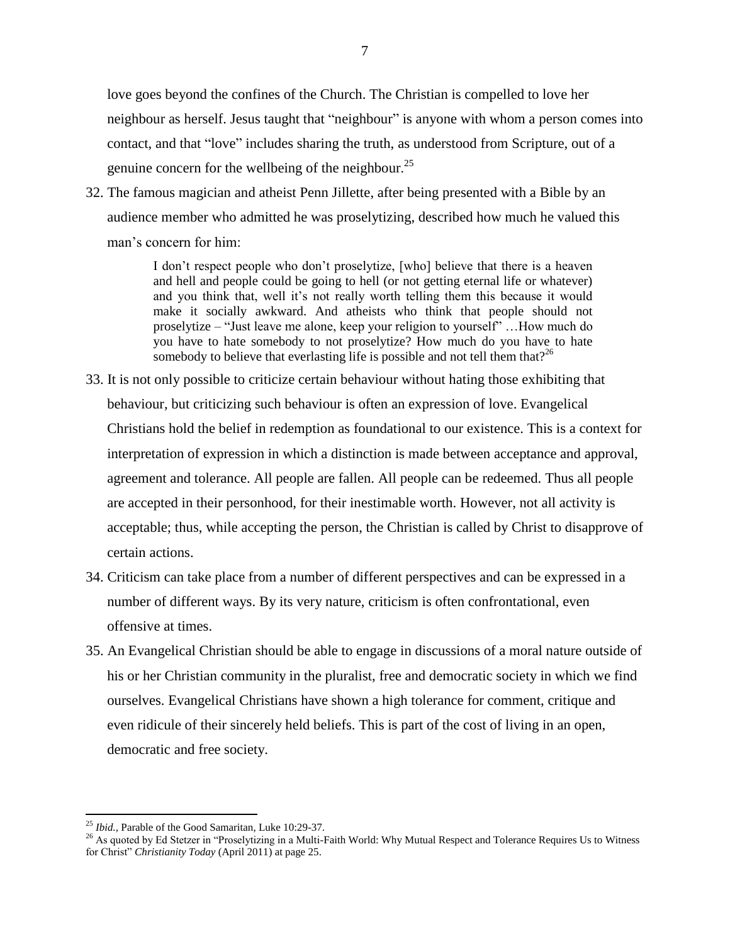love goes beyond the confines of the Church. The Christian is compelled to love her neighbour as herself. Jesus taught that "neighbour" is anyone with whom a person comes into contact, and that "love" includes sharing the truth, as understood from Scripture, out of a genuine concern for the wellbeing of the neighbour.<sup>25</sup>

32. The famous magician and atheist Penn Jillette, after being presented with a Bible by an audience member who admitted he was proselytizing, described how much he valued this man"s concern for him:

> I don"t respect people who don"t proselytize, [who] believe that there is a heaven and hell and people could be going to hell (or not getting eternal life or whatever) and you think that, well it's not really worth telling them this because it would make it socially awkward. And atheists who think that people should not proselytize – "Just leave me alone, keep your religion to yourself" …How much do you have to hate somebody to not proselytize? How much do you have to hate somebody to believe that everlasting life is possible and not tell them that  $2^{26}$

- 33. It is not only possible to criticize certain behaviour without hating those exhibiting that behaviour, but criticizing such behaviour is often an expression of love. Evangelical Christians hold the belief in redemption as foundational to our existence. This is a context for interpretation of expression in which a distinction is made between acceptance and approval, agreement and tolerance. All people are fallen. All people can be redeemed. Thus all people are accepted in their personhood, for their inestimable worth. However, not all activity is acceptable; thus, while accepting the person, the Christian is called by Christ to disapprove of certain actions.
- 34. Criticism can take place from a number of different perspectives and can be expressed in a number of different ways. By its very nature, criticism is often confrontational, even offensive at times.
- 35. An Evangelical Christian should be able to engage in discussions of a moral nature outside of his or her Christian community in the pluralist, free and democratic society in which we find ourselves. Evangelical Christians have shown a high tolerance for comment, critique and even ridicule of their sincerely held beliefs. This is part of the cost of living in an open, democratic and free society.

<sup>25</sup> *Ibid.,* Parable of the Good Samaritan, Luke 10:29-37.

<sup>&</sup>lt;sup>26</sup> As quoted by Ed Stetzer in "Proselytizing in a Multi-Faith World: Why Mutual Respect and Tolerance Requires Us to Witness for Christ" *Christianity Today* (April 2011) at page 25.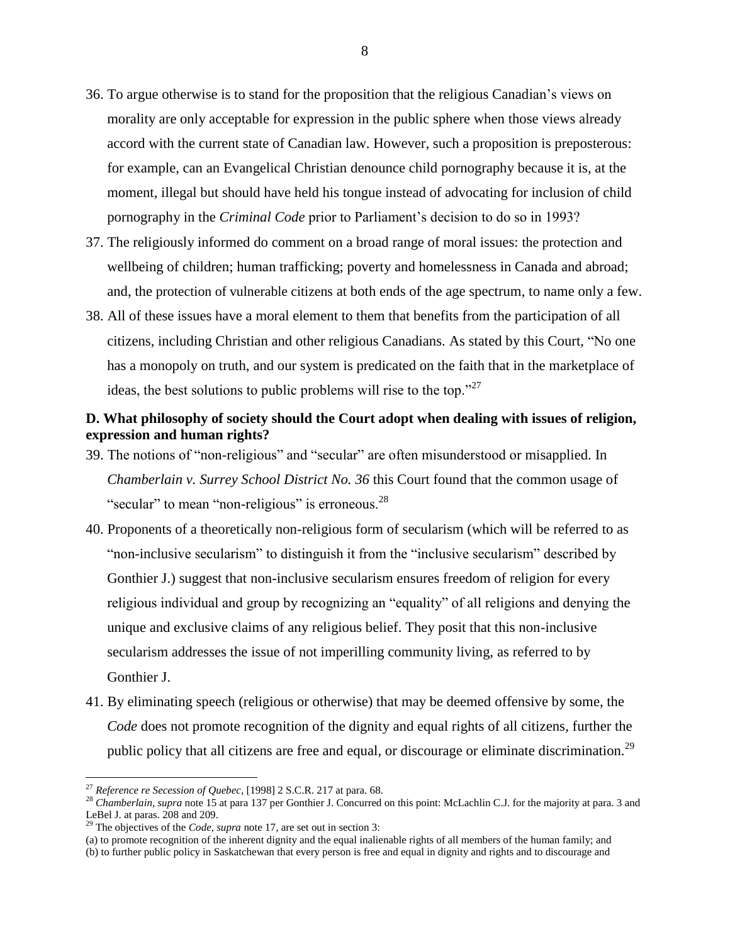- 36. To argue otherwise is to stand for the proposition that the religious Canadian"s views on morality are only acceptable for expression in the public sphere when those views already accord with the current state of Canadian law. However, such a proposition is preposterous: for example, can an Evangelical Christian denounce child pornography because it is, at the moment, illegal but should have held his tongue instead of advocating for inclusion of child pornography in the *Criminal Code* prior to Parliament"s decision to do so in 1993?
- 37. The religiously informed do comment on a broad range of moral issues: the protection and wellbeing of children; human trafficking; poverty and homelessness in Canada and abroad; and, the protection of vulnerable citizens at both ends of the age spectrum, to name only a few.
- 38. All of these issues have a moral element to them that benefits from the participation of all citizens, including Christian and other religious Canadians. As stated by this Court, "No one has a monopoly on truth, and our system is predicated on the faith that in the marketplace of ideas, the best solutions to public problems will rise to the top."<sup>27</sup>

## <span id="page-17-0"></span>**D. What philosophy of society should the Court adopt when dealing with issues of religion, expression and human rights?**

- 39. The notions of "non-religious" and "secular" are often misunderstood or misapplied. In *Chamberlain v. Surrey School District No. 36* this Court found that the common usage of "secular" to mean "non-religious" is erroneous.<sup>28</sup>
- 40. Proponents of a theoretically non-religious form of secularism (which will be referred to as "non-inclusive secularism" to distinguish it from the "inclusive secularism" described by Gonthier J.) suggest that non-inclusive secularism ensures freedom of religion for every religious individual and group by recognizing an "equality" of all religions and denying the unique and exclusive claims of any religious belief. They posit that this non-inclusive secularism addresses the issue of not imperilling community living, as referred to by Gonthier J.
- 41. By eliminating speech (religious or otherwise) that may be deemed offensive by some, the *Code* does not promote recognition of the dignity and equal rights of all citizens, further the public policy that all citizens are free and equal, or discourage or eliminate discrimination.<sup>29</sup>

<sup>27</sup> *Reference re Secession of Quebec*, [1998] 2 S.C.R. 217 at para. 68.

<sup>&</sup>lt;sup>28</sup> Chamberlain, supra note 15 at para 137 per Gonthier J. Concurred on this point: McLachlin C.J. for the majority at para. 3 and LeBel J. at paras. 208 and 209.

<sup>&</sup>lt;sup>29</sup> The objectives of the *Code, supra* note 17, are set out in section 3:

<sup>(</sup>a) to promote recognition of the inherent dignity and the equal inalienable rights of all members of the human family; and

<sup>(</sup>b) to further public policy in Saskatchewan that every person is free and equal in dignity and rights and to discourage and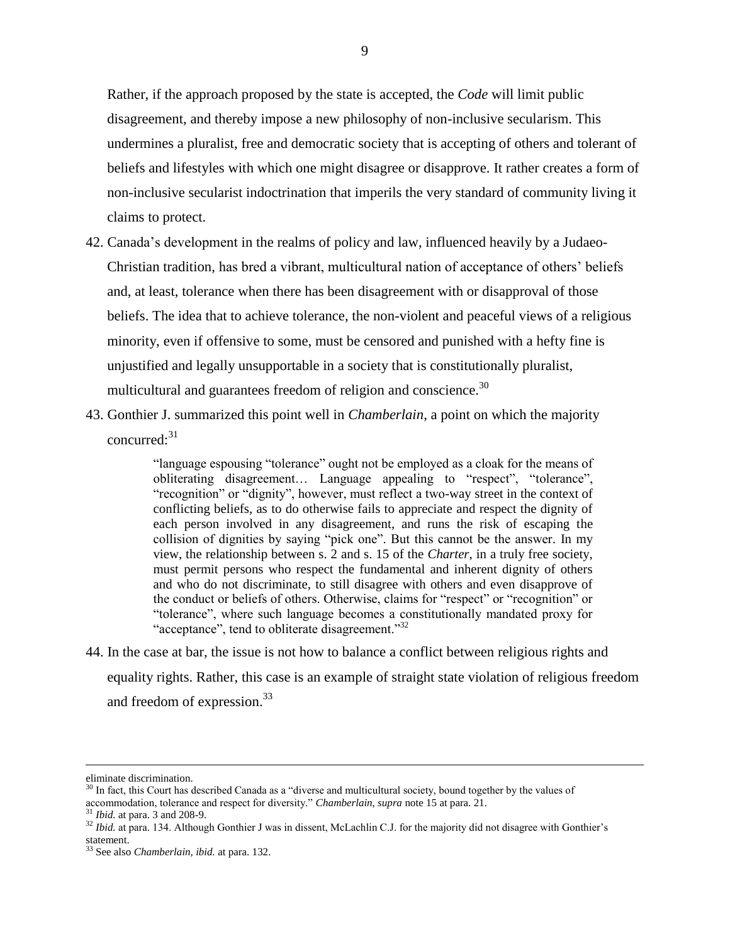Rather, if the approach proposed by the state is accepted, the *Code* will limit public disagreement, and thereby impose a new philosophy of non-inclusive secularism. This undermines a pluralist, free and democratic society that is accepting of others and tolerant of beliefs and lifestyles with which one might disagree or disapprove. It rather creates a form of non-inclusive secularist indoctrination that imperils the very standard of community living it claims to protect.

- 42. Canada"s development in the realms of policy and law, influenced heavily by a Judaeo-Christian tradition, has bred a vibrant, multicultural nation of acceptance of others" beliefs and, at least, tolerance when there has been disagreement with or disapproval of those beliefs. The idea that to achieve tolerance, the non-violent and peaceful views of a religious minority, even if offensive to some, must be censored and punished with a hefty fine is unjustified and legally unsupportable in a society that is constitutionally pluralist, multicultural and guarantees freedom of religion and conscience.<sup>30</sup>
- 43. Gonthier J. summarized this point well in *Chamberlain*, a point on which the majority concurred:<sup>31</sup>

"language espousing "tolerance" ought not be employed as a cloak for the means of obliterating disagreement… Language appealing to "respect", "tolerance", "recognition" or "dignity", however, must reflect a two-way street in the context of conflicting beliefs, as to do otherwise fails to appreciate and respect the dignity of each person involved in any disagreement, and runs the risk of escaping the collision of dignities by saying "pick one". But this cannot be the answer*.* In my view, the relationship between s. 2 and s. 15 of the *Charter*, in a truly free society, must permit persons who respect the fundamental and inherent dignity of others and who do not discriminate, to still disagree with others and even disapprove of the conduct or beliefs of others. Otherwise, claims for "respect" or "recognition" or "tolerance", where such language becomes a constitutionally mandated proxy for "acceptance", tend to obliterate disagreement."<sup>32</sup>

44. In the case at bar, the issue is not how to balance a conflict between religious rights and equality rights. Rather, this case is an example of straight state violation of religious freedom and freedom of expression.<sup>33</sup>

eliminate discrimination.

 $30$  In fact, this Court has described Canada as a "diverse and multicultural society, bound together by the values of accommodation, tolerance and respect for diversity." *Chamberlain, supra* note 15 at para. 21.

<sup>31</sup> *Ibid.* at para. 3 and 208-9.

<sup>&</sup>lt;sup>32</sup> *Ibid.* at para. 134. Although Gonthier J was in dissent, McLachlin C.J. for the majority did not disagree with Gonthier's statement.

<sup>33</sup> See also *Chamberlain, ibid.* at para. 132.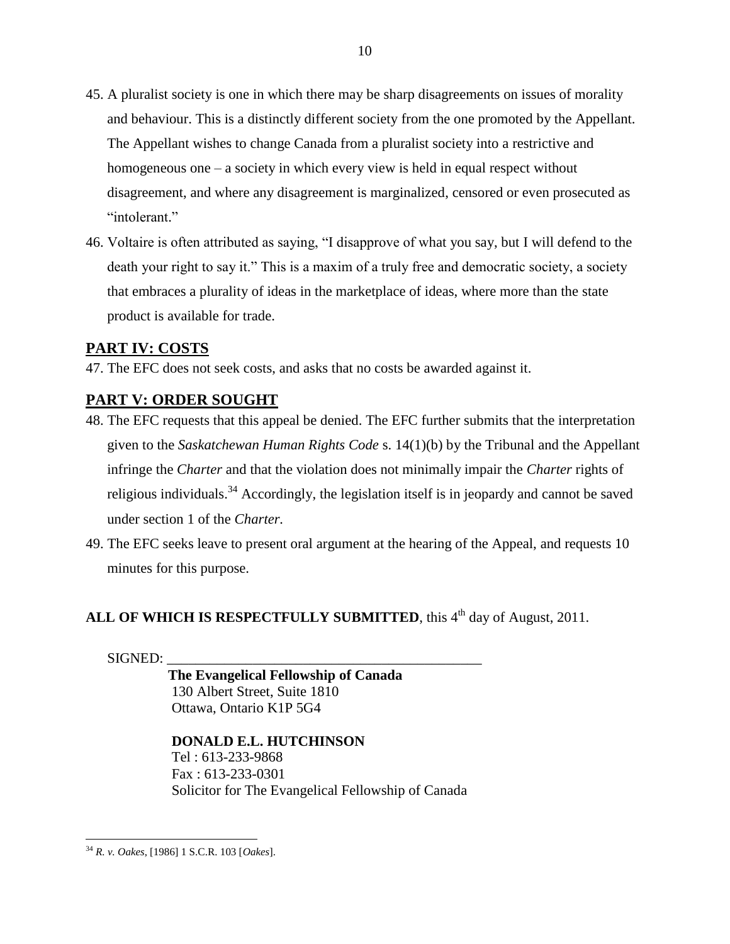- 45. A pluralist society is one in which there may be sharp disagreements on issues of morality and behaviour. This is a distinctly different society from the one promoted by the Appellant. The Appellant wishes to change Canada from a pluralist society into a restrictive and homogeneous one – a society in which every view is held in equal respect without disagreement, and where any disagreement is marginalized, censored or even prosecuted as "intolerant."
- 46. Voltaire is often attributed as saying, "I disapprove of what you say, but I will defend to the death your right to say it." This is a maxim of a truly free and democratic society, a society that embraces a plurality of ideas in the marketplace of ideas, where more than the state product is available for trade.

## <span id="page-19-0"></span>**PART IV: COSTS**

47. The EFC does not seek costs, and asks that no costs be awarded against it.

# <span id="page-19-1"></span>**PART V: ORDER SOUGHT**

- 48. The EFC requests that this appeal be denied. The EFC further submits that the interpretation given to the *Saskatchewan Human Rights Code* s. 14(1)(b) by the Tribunal and the Appellant infringe the *Charter* and that the violation does not minimally impair the *Charter* rights of religious individuals.<sup>34</sup> Accordingly, the legislation itself is in jeopardy and cannot be saved under section 1 of the *Charter.*
- 49. The EFC seeks leave to present oral argument at the hearing of the Appeal, and requests 10 minutes for this purpose.

# ALL OF WHICH IS RESPECTFULLY SUBMITTED, this 4<sup>th</sup> day of August, 2011.

 $SIGNED:$ 

 **The Evangelical Fellowship of Canada** 130 Albert Street, Suite 1810 Ottawa, Ontario K1P 5G4

## **DONALD E.L. HUTCHINSON** Tel : 613-233-9868 Fax : 613-233-0301 Solicitor for The Evangelical Fellowship of Canada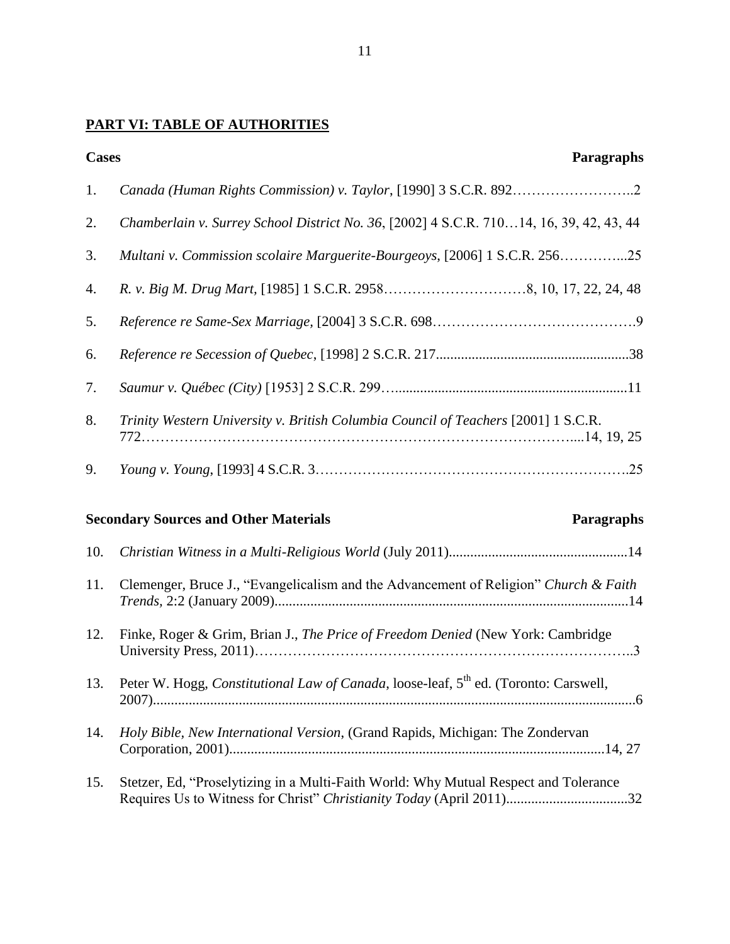# **PART VI: TABLE OF AUTHORITIES**

| <b>Cases</b> | Paragraphs                                                                                                                                                   |
|--------------|--------------------------------------------------------------------------------------------------------------------------------------------------------------|
| 1.           |                                                                                                                                                              |
| 2.           | Chamberlain v. Surrey School District No. 36, [2002] 4 S.C.R. 71014, 16, 39, 42, 43, 44                                                                      |
| 3.           | Multani v. Commission scolaire Marguerite-Bourgeoys, [2006] 1 S.C.R. 25625                                                                                   |
| 4.           |                                                                                                                                                              |
| 5.           |                                                                                                                                                              |
| 6.           |                                                                                                                                                              |
| 7.           |                                                                                                                                                              |
| 8.           | Trinity Western University v. British Columbia Council of Teachers [2001] 1 S.C.R.                                                                           |
| 9.           |                                                                                                                                                              |
|              | <b>Secondary Sources and Other Materials</b><br>Paragraphs                                                                                                   |
| 10.          |                                                                                                                                                              |
| 11.          | Clemenger, Bruce J., "Evangelicalism and the Advancement of Religion" Church & Faith                                                                         |
| 12.          | Finke, Roger & Grim, Brian J., The Price of Freedom Denied (New York: Cambridge                                                                              |
| 13.          | Peter W. Hogg, Constitutional Law of Canada, loose-leaf, 5 <sup>th</sup> ed. (Toronto: Carswell,                                                             |
| 14.          | Holy Bible, New International Version, (Grand Rapids, Michigan: The Zondervan                                                                                |
| 15.          | Stetzer, Ed, "Proselytizing in a Multi-Faith World: Why Mutual Respect and Tolerance<br>Requires Us to Witness for Christ" Christianity Today (April 2011)32 |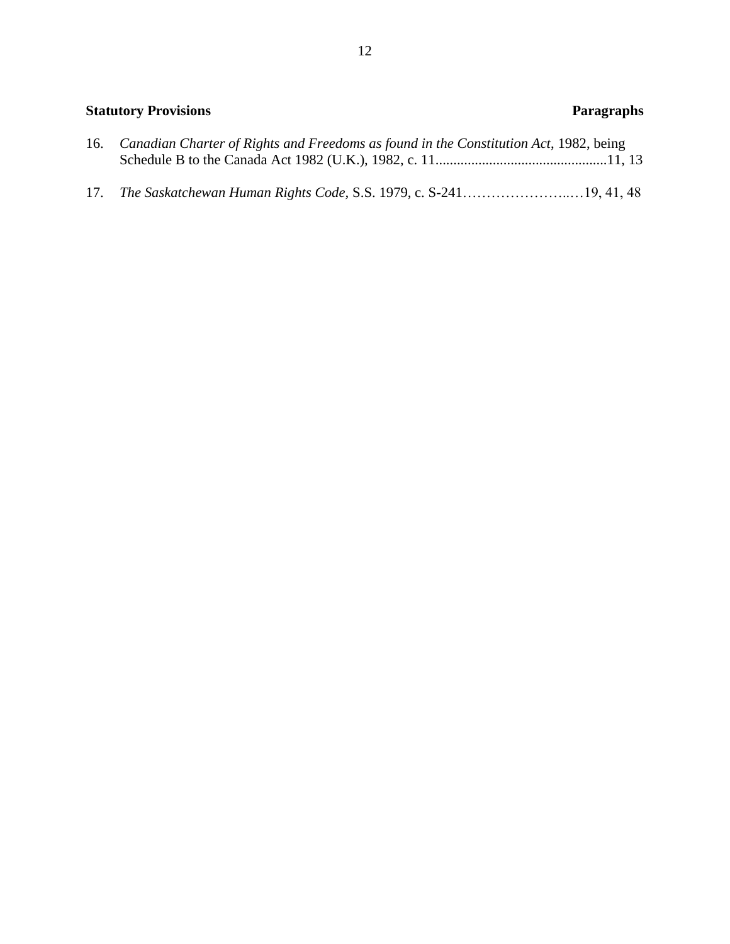# **Statutory Provisions** Paragraphs 16. *Canadian Charter of Rights and Freedoms as found in the Constitution Act*, 1982, being Schedule B to the Canada Act 1982 (U.K.), 1982, c. 11................................................11, 13 17. *The Saskatchewan Human Rights Code,* S.S. 1979, c. S-241…………………..…19, 41, 48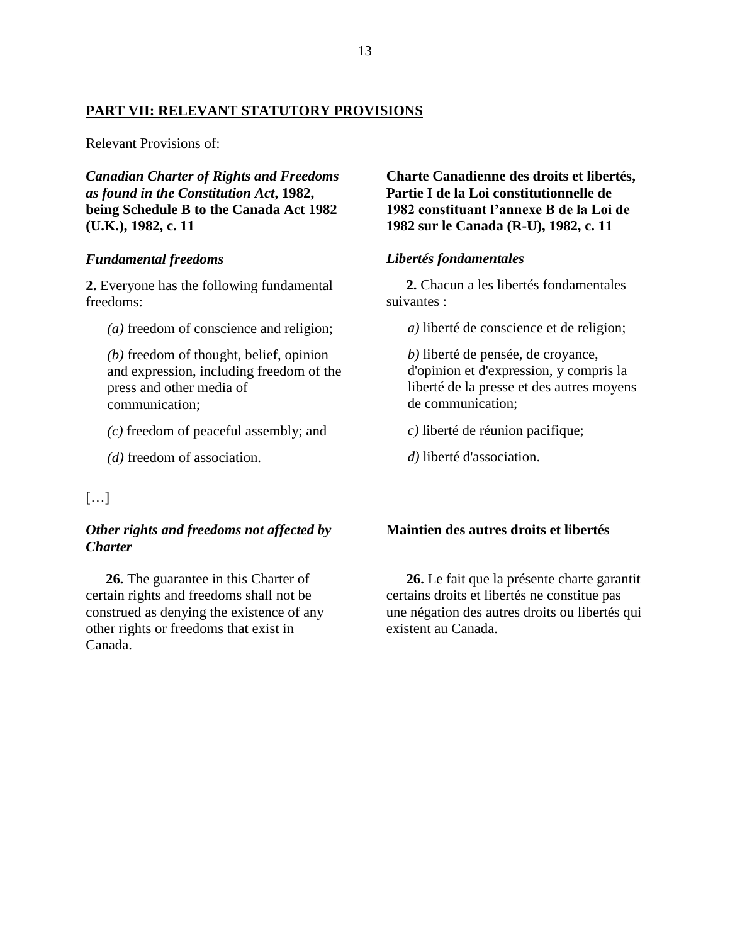## **PART VII: RELEVANT STATUTORY PROVISIONS**

Relevant Provisions of:

*Canadian Charter of Rights and Freedoms as found in the Constitution Act***, 1982, being Schedule B to the Canada Act 1982 (U.K.), 1982, c. 11**

#### *Fundamental freedoms*

**2.** Everyone has the following fundamental freedoms:

*(a)* freedom of conscience and religion;

*(b)* freedom of thought, belief, opinion and expression, including freedom of the press and other media of communication;

*(c)* freedom of peaceful assembly; and

*(d)* freedom of association.

## […]

## *Other rights and freedoms not affected by Charter*

**26.** The guarantee in this Charter of certain rights and freedoms shall not be construed as denying the existence of any other rights or freedoms that exist in Canada.

**Charte Canadienne des droits et libertés, Partie I de la Loi constitutionnelle de 1982 constituant l'annexe B de la Loi de 1982 sur le Canada (R-U), 1982, c. 11**

### *Libertés fondamentales*

**2.** Chacun a les libertés fondamentales suivantes :

*a)* liberté de conscience et de religion;

*b)* liberté de pensée, de croyance, d'opinion et d'expression, y compris la liberté de la presse et des autres moyens de communication;

*c)* liberté de réunion pacifique;

*d)* liberté d'association.

#### **Maintien des autres droits et libertés**

**26.** Le fait que la présente charte garantit certains droits et libertés ne constitue pas une négation des autres droits ou libertés qui existent au Canada.